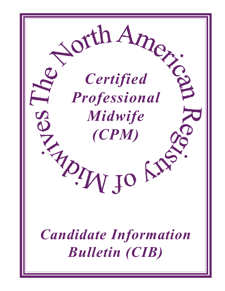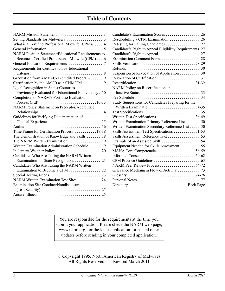## **Table of Contents**

| What is a Certified Professional Midwife (CPM)?  4                                          |
|---------------------------------------------------------------------------------------------|
|                                                                                             |
| NARM Position Statement: Educational Requirements to                                        |
| Become a Certified Professional Midwife (CPM) 6                                             |
|                                                                                             |
| Requirements for Certification by Educational                                               |
|                                                                                             |
| Graduation from a MEAC-Accredited Program 9                                                 |
| Certification by the AMCB as a CNM/CM 9                                                     |
| Legal Recognition in States/Countries                                                       |
| Previously Evaluated for Educational Equivalency . 10                                       |
| Completion of NARM's Portfolio Evaluation                                                   |
|                                                                                             |
| NARM Policy Statement on Preceptor/Apprentice                                               |
|                                                                                             |
| Guidelines for Verifying Documentation of                                                   |
|                                                                                             |
|                                                                                             |
| Time Frame for Certification Process 17-18                                                  |
| The Demonstration of Knowledge and Skills  18                                               |
| The NARM Written Examination<br>19                                                          |
| Written Examination Administration Schedule 19                                              |
|                                                                                             |
| Candidates Who Are Taking the NARM Written                                                  |
| Examination for State Recognition. 21                                                       |
| Candidates Who Are Taking the NARM Written                                                  |
| Examination to Become a CPM 22                                                              |
|                                                                                             |
| NARM Written Examination Test Sites 24                                                      |
| <b>Examination Site Conduct/Nondisclosure</b>                                               |
| (Test Security). $\ldots \ldots \ldots \ldots \ldots \ldots \ldots \ldots \ldots \ldots 25$ |
|                                                                                             |

| Candidate's Examination Scores 26                       |  |
|---------------------------------------------------------|--|
| Rescheduling a CPM Examination  26                      |  |
| Retesting for Failing Candidates 27                     |  |
| Candidate's Right to Appeal Eligibility Requirements 27 |  |
|                                                         |  |
|                                                         |  |
| Skills Verification28-29                                |  |
|                                                         |  |
| Suspension or Revocation of Application 30              |  |
|                                                         |  |
|                                                         |  |
| NARM Policy on Recertification and                      |  |
|                                                         |  |
|                                                         |  |
| Study Suggestions for Candidates Preparing for the      |  |
|                                                         |  |
|                                                         |  |
|                                                         |  |
| Written Examination Primary Reference List 50           |  |
| Written Examination Secondary Reference List 50         |  |
| Skills Assessment Test Specifications 51-53             |  |
| Skills Assessment Reference Text 53                     |  |
|                                                         |  |
| Equipment Needed for Skills Assessment 55               |  |
| MANA Core Competencies56-59                             |  |
|                                                         |  |
|                                                         |  |
|                                                         |  |
| Grievance Mechanism Flow of Activity  73                |  |
|                                                         |  |
|                                                         |  |
| Directory Back Page                                     |  |
|                                                         |  |

You are responsible for the requirements at the time you submit your application. Please check the NARM web page, www.narm.org, for the latest application forms and other updates before sending in your completed application.

© Copyright 1995, North American Registry of Midwives All Rights Reserved Revised March 2011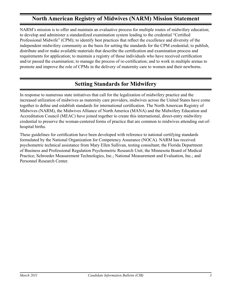# **North American Registry of Midwives (NARM) Mission Statement**

NARM's mission is to offer and maintain an evaluative process for multiple routes of midwifery education; to develop and administer a standardized examination system leading to the credential "Certified Professional Midwife" (CPM); to identify best practices that reflect the excellence and diversity of the independent midwifery community as the basis for setting the standards for the CPM credential; to publish, distribute and/or make available materials that describe the certification and examination process and requirements for application; to maintain a registry of those individuals who have received certification and/or passed the examination; to manage the process of re-certification; and to work in multiple arenas to promote and improve the role of CPMs in the delivery of maternity care to women and their newborns.

# **Setting Standards for Midwifery**

In response to numerous state initiatives that call for the legalization of midwifery practice and the increased utilization of midwives as maternity care providers, midwives across the United States have come together to define and establish standards for international certification. The North American Registry of Midwives (NARM), the Midwives Alliance of North America (MANA) and the Midwifery Education and Accreditation Council (MEAC) have joined together to create this international, direct-entry midwifery credential to preserve the woman-centered forms of practice that are common to midwives attending out-ofhospital births.

These guidelines for certification have been developed with reference to national certifying standards formulated by the National Organization for Competency Assurance (NOCA). NARM has received psychometric technical assistance from Mary Ellen Sullivan, testing consultant; the Florida Department of Business and Professional Regulation Psychometric Research Unit; the Minnesota Board of Medical Practice; Schroeder Measurement Technologies, Inc.; National Measurement and Evaluation, Inc.; and Personnel Research Center.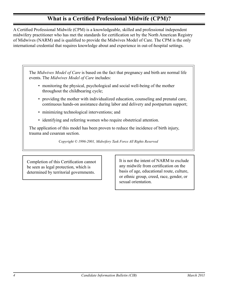# **What is a Certified Professional Midwife (CPM)?**

A Certified Professional Midwife (CPM) is a knowledgeable, skilled and professional independent midwifery practitioner who has met the standards for certification set by the North American Registry of Midwives (NARM) and is qualified to provide the Midwives Model of Care. The CPM is the only international credential that requires knowledge about and experience in out-of-hospital settings.

The *Midwives Model of Care* is based on the fact that pregnancy and birth are normal life events. The *Midwives Model of Care* includes:

- monitoring the physical, psychological and social well-being of the mother throughout the childbearing cycle;
- providing the mother with individualized education, counseling and prenatal care, continuous hands-on assistance during labor and delivery and postpartum support;
- minimizing technological interventions; and
- identifying and referring women who require obstetrical attention.

The application of this model has been proven to reduce the incidence of birth injury, trauma and cesarean section.

C*opyright © 1996-2001, Midwifery Task Force All Rights Reserved*

Completion of this Certification cannot be seen as legal protection, which is determined by territorial governments.

It is not the intent of NARM to exclude any midwife from certification on the basis of age, educational route, culture, or ethnic group, creed, race, gender, or sexual orientation.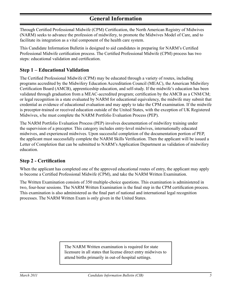## **General Information**

Through Certified Professional Midwife (CPM) Certification, the North American Registry of Midwives (NARM) seeks to advance the profession of midwifery, to promote the Midwives Model of Care, and to facilitate its integration as a vital component of the health care system.

This Candidate Information Bulletin is designed to aid candidates in preparing for NARM's Certified Professional Midwife certification process. The Certified Professional Midwife (CPM) process has two steps: educational validation and certification.

### **Step 1 – Educational Validation**

The Certified Professional Midwife (CPM) may be educated through a variety of routes, including programs accredited by the Midwifery Education Accreditation Council (MEAC), the American Midwifery Certification Board (AMCB), apprenticeship education, and self-study. If the midwife's education has been validated through graduation from a MEAC-accredited program; certification by the AMCB as a CNM/CM; or legal recognition in a state evaluated by NARM for educational equivalency, the midwife may submit that credential as evidence of educational evaluation and may apply to take the CPM examination. If the midwife is preceptor-trained or received education outside of the United States, with the exception of UK Registered Midwives, s/he must complete the NARM Portfolio Evaluation Process (PEP).

The NARM Portfolio Evaluation Process (PEP) involves documentation of midwifery training under the supervision of a preceptor. This category includes entry-level midwives, internationally educated midwives, and experienced midwives. Upon successful completion of the documentation portion of PEP, the applicant must successfully complete the NARM Skills Verification. Then the applicant will be issued a Letter of Completion that can be submitted to NARM's Application Department as validation of midwifery education.

#### **Step 2 - Certification**

When the applicant has completed one of the approved educational routes of entry, the applicant may apply to become a Certified Professional Midwife (CPM), and take the NARM Written Examination.

The Written Examination consists of 350 multiple-choice questions. This examination is administered in two, four-hour sessions. The NARM Written Examination is the final step in the CPM certification process. This examination is also administered as the final part of national and international legal recognition processes. The NARM Written Exam is only given in the United States.

> The NARM Written examination is required for state licensure in all states that license direct entry midwives to attend births primarily in out-of-hospital settings.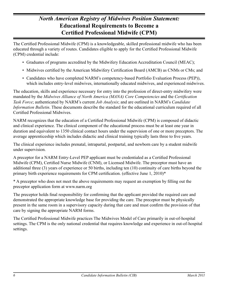# *North American Registry of Midwives Position Statement:* **Educational Requirements to Become a Certified Professional Midwife (CPM)**

The Certified Professional Midwife (CPM) is a knowledgeable, skilled professional midwife who has been educated through a variety of routes. Candidates eligible to apply for the Certified Professional Midwife (CPM) credential include:

- Graduates of programs accredited by the Midwifery Education Accreditation Council (MEAC);
- Midwives certified by the American Midwifery Certification Board (AMCB) as CNMs or CMs; and
- Candidates who have completed NARM's competency-based Portfolio Evaluation Process (PEP)), which includes entry-level midwives, internationally educated midwives, and experienced midwives.

The education, skills and experience necessary for entry into the profession of direct-entry midwifery were mandated by the *Midwives Alliance of North America (MANA) Core Competencies* and the *Certification Task Force*; authenticated by NARM's current *Job Analysis*; and are outlined in NARM's *Candidate Information Bulletin*. These documents describe the standard for the educational curriculum required of all Certified Professional Midwives.

NARM recognizes that the education of a Certified Professional Midwife (CPM) is composed of didactic and clinical experience. The clinical component of the educational process must be at least one year in duration and equivalent to 1350 clinical contact hours under the supervision of one or more preceptors. The average apprenticeship which includes didactic and clinical training typically lasts three to five years.

The clinical experience includes prenatal, intrapartal, postpartal, and newborn care by a student midwife under supervision.

A preceptor for a NARM Entry-Level PEP applicant must be credentialed as a Certified Professional Midwife (CPM), Certified Nurse Midwife (CNM), or Licensed Midwife. The preceptor must have an additional three (3) years of experience or 50 births, including ten (10) continuity of care births beyond the primary birth experience requirements for CPM certification. (effective June 1, 2010)\*

\* A preceptor who does not meet the above requirements may request an exemption by filling out the preceptor application form at www.narm.org

The preceptor holds final responsibility for confirming that the applicant provided the required care and demonstrated the appropriate knowledge base for providing the care. The preceptor must be physically present in the same room in a supervisory capacity during that care and must confirm the provision of that care by signing the appropriate NARM forms.

The Certified Professional Midwife practices The Midwives Model of Care primarily in out-of-hospital settings. The CPM is the only national credential that requires knowledge and experience in out-of-hospital settings.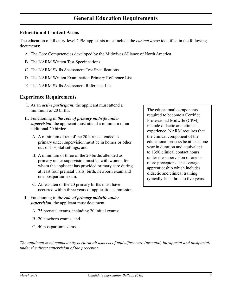### **General Education Requirements**

#### **Educational Content Areas**

The education of all entry-level CPM applicants must include the *content areas* identified in the following documents:

- A. The Core Competencies developed by the Midwives Alliance of North America
- B. The NARM Written Test Specifications
- C. The NARM Skills Assessment Test Specifications
- D. The NARM Written Examination Primary Reference List
- E. The NARM Skills Assessment Reference List

#### **Experience Requirements**

- I. As an *active participant*, the applicant must attend a minimum of 20 births.
- II. Functioning in *the role of primary midwife under supervision*, the applicant must attend a minimum of an additional 20 births:
	- A. A minimum of ten of the 20 births attended as primary under supervision must be in homes or other out-of-hospital settings; and
	- B. A minimum of three of the 20 births attended as primary under supervision must be with women for whom the applicant has provided primary care during at least four prenatal visits, birth, newborn exam and one postpartum exam.
	- C. At least ten of the 20 primary births must have occurred within three years of application submission.
- III. Functioning in *the role of primary midwife under supervision*, the applicant must document:
	- A. 75 prenatal exams, including 20 initial exams;
	- B. 20 newborn exams; and
	- C. 40 postpartum exams.

The educational components required to become a Certified Professional Midwife (CPM) include didactic and clinical experience. NARM requires that the clinical component of the educational process be at least one year in duration and equivalent to 1350 clinical contact hours under the supervision of one or more preceptors. The average apprenticeship which includes didactic and clinical training typically lasts three to five years.

*The applicant must competently perform all aspects of midwifery care (prenatal, intrapartal and postpartal) under the direct supervision of the preceptor.*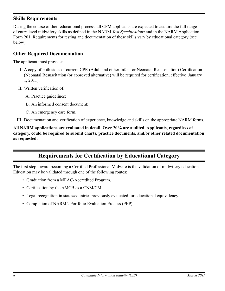### **Skills Requirements**

During the course of their educational process, all CPM applicants are expected to acquire the full range of entry-level midwifery skills as defined in the NARM *Test Specifications* and in the NARM Application Form 201. Requirements for testing and documentation of these skills vary by educational category (see below).

### **Other Required Documentation**

The applicant must provide:

- I. A copy of both sides of current CPR (Adult and either Infant or Neonatal Resuscitation) Certification (Neonatal Resuscitation (or approved alternative) will be required for certification, effective January 1, 2011);
- II. Written verification of:
	- A. Practice guidelines;
	- B. An informed consent document;
	- C. An emergency care form.
- III. Documentation and verification of experience, knowledge and skills on the appropriate NARM forms.

**All NARM applications are evaluated in detail. Over 20% are audited. Applicants, regardless of category, could be required to submit charts, practice documents, and/or other related documentation as requested.** 

## **Requirements for Certification by Educational Category**

The first step toward becoming a Certified Professional Midwife is the validation of midwifery education. Education may be validated through one of the following routes:

- Graduation from a MEAC-Accredited Program.
- Certification by the AMCB as a CNM/CM.
- Legal recognition in states/countries previously evaluated for educational equivalency.
- Completion of NARM's Portfolio Evaluation Process (PEP).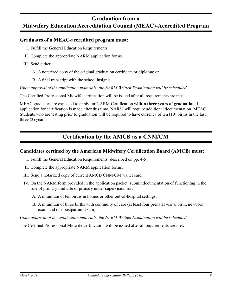## **Graduation from a Midwifery Education Accreditation Council (MEAC)-Accredited Program**

#### **Graduates of a MEAC-accredited program must:**

- I. Fulfill the General Education Requirements.
- II. Complete the appropriate NARM application forms.
- III. Send either:
	- A. A notarized copy of the original graduation certificate or diploma; or
	- B. A final transcript with the school insignia.

*Upon approval of the application materials, the NARM Written Examination will be scheduled.*

The Certified Professional Midwife certification will be issued after all requirements are met.

MEAC graduates are expected to apply for NARM Certification **within three years of graduation**. If application for certification is made after this time, NARM will require additional documentation. MEAC Students who are testing prior to graduation will be required to have currency of ten (10) births in the last three (3) years.

## **Certification by the AMCB as a CNM/CM**

#### **Candidates certified by the American Midwifery Certification Board (AMCB) must:**

- I. Fulfill the General Education Requirements (described on pp. 4-5).
- II. Complete the appropriate NARM application forms.
- III. Send a notarized copy of current AMCB CNM/CM wallet card.
- IV. On the NARM form provided in the application packet, submit documentation of functioning in the role of primary midwife or primary under supervision for:

#### A. A minimum of ten births in homes or other out-of-hospital settings;

B. A minimum of three births with continuity of care (at least four prenatal visits, birth, newborn exam and one postpartum exam).

*Upon approval of the application materials, the NARM Written Examination will be scheduled.*

The Certified Professional Midwife certification will be issued after all requirements are met.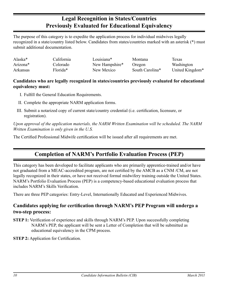# **Legal Recognition in States/Countries Previously Evaluated for Educational Equivalency**

The purpose of this category is to expedite the application process for individual midwives legally recognized in a state/country listed below. Candidates from states/countries marked with an asterisk (\*) must submit additional documentation.

| Alaska*         | California | Louisiana*     | Montana         | fexas           |
|-----------------|------------|----------------|-----------------|-----------------|
| Arizona*        | Colorado   | New Hampshire* | Oregon          | Washington      |
| <b>Arkansas</b> | Florida*   | New Mexico     | South Carolina* | United Kingdom* |

### **Candidates who are legally recognized in states/countries previously evaluated for educational equivalency must:**

- I. Fulfill the General Education Requirements.
- II. Complete the appropriate NARM application forms.
- III. Submit a notarized copy of current state/country credential (i.e. certification, licensure, or registration).

*Upon approval of the application materials, the NARM Written Examination will be scheduled. The NARM Written Examination is only given in the U.S.*

The Certified Professional Midwife certification will be issued after all requirements are met.

# **Completion of NARM's Portfolio Evaluation Process (PEP)**

This category has been developed to facilitate applicants who are primarily apprentice-trained and/or have not graduated from a MEAC-accredited program, are not certified by the AMCB as a CNM /CM, are not legally recognized in their states, or have not received formal midwifery training outside the United States. NARM's Portfolio Evaluation Process (PEP) is a competency-based educational evaluation process that includes NARM's Skills Verification.

There are three PEP categories: Entry-Level, Internationally Educated and Experienced Midwives.

### **Candidates applying for certification through NARM's PEP Program will undergo a two-step process:**

**STEP 1:** Verification of experience and skills through NARM's PEP. Upon successfully completing NARM's PEP, the applicant will be sent a Letter of Completion that will be submitted as educational equivalency in the CPM process.

**STEP 2:** Application for Certification.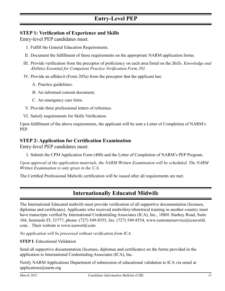# **Entry-Level PEP**

### **STEP 1: Verification of Experience and Skills**

Entry-level PEP candidates must:

- I. Fulfill the General Education Requirements.
- II. Document the fulfillment of these requirements on the appropriate NARM application forms.
- III. Provide verification from the preceptor of proficiency on each area listed on the *Skills, Knowledge and Abilities Essential for Competent Practice Verification Form 201.*
- IV. Provide an affidavit (Form 205a) from the preceptor that the applicant has:
	- A. Practice guidelines;
	- B. An informed consent document;
	- C. An emergency care form.
- V. Provide three professional letters of reference.
- VI. Satisfy requirements for Skills Verification.

Upon fulfillment of the above requirements, the applicant will be sent a Letter of Completion of NARM's PEP.

#### **STEP 2: Application for Certification Examination**

Entry-level PEP candidates must:

I. Submit the CPM Application Form (400) and the Letter of Completion of NARM's PEP Program.

*Upon approval of the application materials, the NARM Written Examination will be scheduled. The NARM Written Examination is only given in the U.S.*

The Certified Professional Midwife certification will be issued after all requirements are met.

## **Internationally Educated Midwife**

The International Educated midwife must provide verification of all supportive documentation (licenses, diplomas and certificates). Applicants who received midwifery/obstetrical training in another country must have transcripts verified by International Credentialing Associates (ICA), Inc., 10801 Starkey Road, Suite 104, Seminole FL 33777, phone: (727) 549-8555, fax: (727) 549-8554, www.customerservice@icaworld. com. . Their website is www.icaworld.com

*No application will be processed without verification from ICA.*

**STEP I**: Educational Validation

Send all supportive documentation (licenses, diplomas and certificates) on the forms provided in the application to International Credentialing Associates (ICA), Inc.

Notify NARM Applications Department of submission of educational validation to ICA via email at applications@narm.org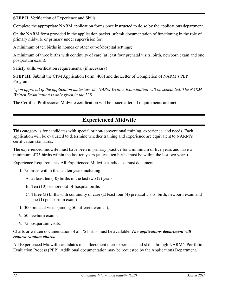#### **STEP II**. Verification of Experience and Skills

Complete the appropriate NARM application forms once instructed to do so by the applications department.

On the NARM form provided in the application packet, submit documentation of functioning in the role of primary midwife or primary under supervision for:

A minimum of ten births in homes or other out-of-hospital settings;

A minimum of three births with continuity of care (at least four prenatal visits, birth, newborn exam and one postpartum exam).

Satisfy skills verification requirements. (if necessary)

**STEP III**. Submit the CPM Application Form (400) and the Letter of Completion of NARM's PEP Program.

*Upon approval of the application materials, the NARM Written Examination will be scheduled. The NARM Written Examination is only given in the U.S.*

The Certified Professional Midwife certification will be issued after all requirements are met.

# **Experienced Midwife**

This category is for candidates with special or non-conventional training, experience, and needs. Each application will be evaluated to determine whether training and experience are equivalent to NARM's certification standards.

The experienced midwife must have been in primary practice for a minimum of five years and have a minimum of 75 births within the last ten years (at least ten births must be within the last two years).

Experience Requirements. All Experienced Midwife candidates must document:

- I. 75 births within the last ten years including:
	- A. at least ten (10) births in the last two (2) years
	- B. Ten (10) or more out-of-hospital births
	- C. Three (3) births with continuity of care (at least four (4) prenatal visits, birth, newborn exam and one (1) postpartum exam)
- II. 300 prenatal visits (among 50 different women);
- IV. 50 newborn exams;
- V. 75 postpartum visits.

Charts or written documentation of all 75 births must be available. *The applications department will request random charts.*

All Experienced Midwife candidates must document their experience and skills through NARM's Portfolio Evaluation Process (PEP). Additional documentation may be requested by the Applications Department.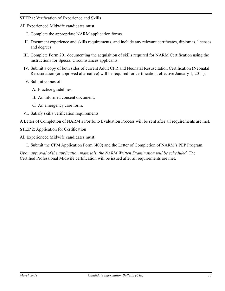#### **STEP 1**: Verification of Experience and Skills

All Experienced Midwife candidates must:

- I. Complete the appropriate NARM application forms.
- II. Document experience and skills requirements, and include any relevant certificates, diplomas, licenses and degrees
- III. Complete Form 201 documenting the acquisition of skills required for NARM Certification using the instructions for Special Circumstances applicants.
- IV. Submit a copy of both sides of current Adult CPR and Neonatal Resuscitation Certification (Neonatal Resuscitation (or approved alternative) will be required for certification, effective January 1, 2011);
- V. Submit copies of:
	- A. Practice guidelines;
	- B. An informed consent document;
	- C. An emergency care form.
- VI. Satisfy skills verification requirements.

A Letter of Completion of NARM's Portfolio Evaluation Process will be sent after all requirements are met.

**STEP 2:** Application for Certification

All Experienced Midwife candidates must:

I. Submit the CPM Application Form (400) and the Letter of Completion of NARM's PEP Program.

*Upon approval of the application materials, the NARM Written Examination will be scheduled*. The Certified Professional Midwife certification will be issued after all requirements are met.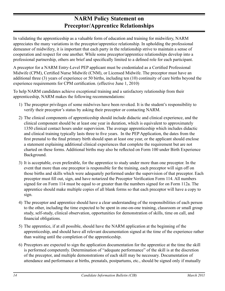# **NARM Policy Statement on Preceptor/Apprentice Relationships**

In validating the apprenticeship as a valuable form of education and training for midwifery, NARM appreciates the many variations in the preceptor/apprentice relationship. In upholding the professional demeanor of midwifery, it is important that each party in the relationship strive to maintain a sense of cooperation and respect for one another. While some preceptor/apprentice relationships develop into a professional partnership, others are brief and specifically limited to a defined role for each participant.

A preceptor for a NARM Entry-Level PEP applicant must be credentialed as a Certified Professional Midwife (CPM), Certified Nurse Midwife (CNM), or Licensed Midwife. The preceptor must have an additional three (3) years of experience or 50 births, including ten (10) continuity of care births beyond the experience requirements for CPM certification. (effective June 1, 2010)

To help NARM candidates achieve exceptional training and a satisfactory relationship from their apprenticeship, NARM makes the following recommendations:

- 1) The preceptor privileges of some midwives have been revoked. It is the student's responsibility to verify their preceptor's status by asking their preceptor or contacting NARM.
- 2) The clinical components of apprenticeship should include didactic and clinical experience, and the clinical component should be at least one year in duration, which is equivalent to approximately 1350 clinical contact hours under supervision. The average apprenticeship which includes didactic and clinical training typically lasts three to five years. In the PEP Application, the dates from the first prenatal to the final primary birth should span at least one year, or the applicant should enclose a statement explaining additional clinical experiences that complete the requirement but are not charted on these forms. Additional births may also be reflected on Form 100 under Birth Experience Background.
- 3) It is acceptable, even preferable, for the apprentice to study under more than one preceptor. In the event that more than one preceptor is responsible for the training, each preceptor will sign off on those births and skills which were adequately performed under the supervision of that preceptor. Each preceptor must fill out, sign, and have notarized the Preceptor Verification Form 114. All numbers signed for on Form 114 must be equal to or greater than the numbers signed for on Form 112a. The apprentice should make multiple copies of all blank forms so that each preceptor will have a copy to sign.
- 4) The preceptor and apprentice should have a clear understanding of the responsibilities of each person to the other, including the time expected to be spent in one-on-one training, classroom or small group study, self-study, clinical observation, opportunities for demonstration of skills, time on call, and financial obligations.
- 5) The apprentice, if at all possible, should have the NARM application at the beginning of the apprenticeship, and should have all relevant documentation signed at the time of the experience rather than waiting until the completion of the apprenticeship.
- 6) Preceptors are expected to sign the application documentation for the apprentice at the time the skill is performed competently. Determination of "adequate performance" of the skill is at the discretion of the preceptor, and multiple demonstrations of each skill may be necessary. Documentation of attendance and performance at births, prenatals, postpartums, etc., should be signed only if mutually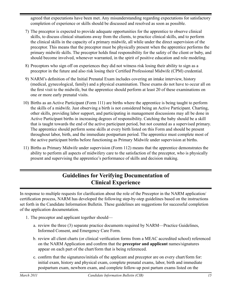agreed that expectations have been met. Any misunderstanding regarding expectations for satisfactory completion of experience or skills should be discussed and resolved as soon as possible.

- 7) The preceptor is expected to provide adequate opportunities for the apprentice to observe clinical skills, to discuss clinical situations away from the clients, to practice clinical skills, and to perform the clinical skills in the capacity of a primary midwife, all while under the direct supervision of the preceptor. This means that the preceptor must be physically present when the apprentice performs the primary midwife skills. The preceptor holds final responsibility for the safety of the client or baby, and should become involved, whenever warranted, in the spirit of positive education and role modeling.
- 8) Preceptors who sign off on experiences they did not witness risk losing their ability to sign as a preceptor in the future and also risk losing their Certified Professional Midwife (CPM) credential.
- 9) NARM's definition of the Initial Prenatal Exam includes covering an intake interview, history (medical, gynecological, family) and a physical examination. These exams do not have to occur all on the first visit to the midwife, but the apprentice should perform at least 20 of these examinations on one or more early prenatal visits.
- 10) Births as an Active Participant (Form 111) are births where the apprentice is being taught to perform the skills of a midwife. Just observing a birth is not considered being an Active Participant. Charting, other skills, providing labor support, and participating in management discussions may all be done in Active Participant births in increasing degrees of responsibility. Catching the baby should be a skill that is taught towards the end of the active participant period, but not counted as a supervised primary. The apprentice should perform some skills at every birth listed on this Form and should be present throughout labor, birth, and the immediate postpartum period. The apprentice must complete most of the active participant births before functioning as Primary Midwife under supervision at births.
- 11) Births as Primary Midwife under supervision (Form 112) means that the apprentice demonstrates the ability to perform all aspects of midwifery care to the satisfaction of the preceptor, who is physically present and supervising the apprentice's performance of skills and decision making.

# **Guidelines for Verifying Documentation of Clinical Experience**

In response to multiple requests for clarification about the role of the Preceptor in the NARM application/ certification process, NARM has developed the following step-by-step guidelines based on the instructions set forth in the Candidate Information Bulletin. These guidelines are suggestions for successful completion of the application documentation.

- 1. The preceptor and applicant together should
	- a. review the three (3) separate practice documents required by NARM—Practice Guidelines, Informed Consent, and Emergency Care Form.
	- b. review all client charts (or clinical verification forms from a MEAC accredited school) referenced on the NARM Application and confirm that the **preceptor and applicant** names/signatures appear on each part of the chart/form that is being referenced.
	- c. confirm that the signatures/initials of the applicant and preceptor are on every chart/form for: initial exam, history and physical exam, complete prenatal exams, labor, birth and immediate postpartum exam, newborn exam, and complete follow-up post partum exams listed on the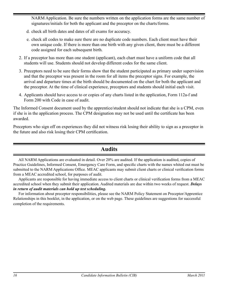NARM Application. Be sure the numbers written on the application forms are the same number of signatures/initials for both the applicant and the preceptor on the charts/forms.

- d. check all birth dates and dates of all exams for accuracy.
- e. check all codes to make sure there are no duplicate code numbers. Each client must have their own unique code. If there is more than one birth with any given client, there must be a different code assigned for each subsequent birth.
- 2. If a preceptor has more than one student (applicant), each chart must have a uniform code that all students will use. Students should not develop different codes for the same client.
- 3. Preceptors need to be sure their forms show that the student participated as primary under supervision and that the preceptor was present in the room for all items the preceptor signs. For example, the arrival and departure times at the birth should be documented on the chart for both the applicant and the preceptor. At the time of clinical experience, preceptors and students should initial each visit.
- 4. Applicants should have access to or copies of any charts listed in the application, Form 112a-f and Form 200 with Code in case of audit.

The Informed Consent document used by the apprentice/student should not indicate that she is a CPM, even if she is in the application process. The CPM designation may not be used until the certificate has been awarded.

Preceptors who sign off on experiences they did not witness risk losing their ability to sign as a preceptor in the future and also risk losing their CPM certification.

## **Audits**

All NARM Applications are evaluated in detail. Over 20% are audited. If the application is audited, copies of Practice Guidelines, Informed Consent, Emergency Care Form, and specific charts with the names whited out must be submitted to the NARM Applications Office. MEAC applicants may submit client charts or clinical verification forms from a MEAC accredited school, for purposes of audit.

Applicants are responsible for having immediate access to client charts or clinical verification forms from a MEAC accredited school when they submit their application. Audited materials are due within two weeks of request. *Delays in return of audit materials can hold up test scheduling.*

For information about preceptor responsibilities, please see the NARM Policy Statement on Preceptor/Apprentice Relationships in this booklet, in the application, or on the web page. These guidelines are suggestions for successful completion of the requirements.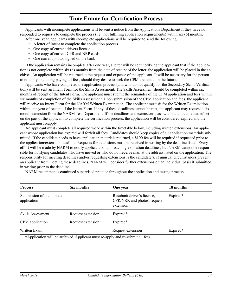## **Time Frame for Certification Process**

Applicants with incomplete applications will be sent a notice from the Applications Department if they have not responded to requests to complete the process (i.e., not fulfilling application requirements) within six (6) months. After one year, applicants with incomplete applications will be required to send the following:

- A letter of intent to complete the application process
- One copy of current drivers license
- One copy of current CPR and NRP cards
- One current photo, signed on the back

If the application remains incomplete after one year, a letter will be sent notifying the applicant that if the application is not complete within six (6) months from the date of receipt of the letter, the application will be placed in the archives. An application will be returned at the request and expense of the applicant. It will be necessary for the person to re-apply, including paying all fees, should they desire to seek the CPM credential in the future.

Applicants who have completed the application process (and who do not qualify for the Secondary Skills Verification) will be sent an Intent Form for the Skills Assessment. The Skills Assessment should be completed within six months of receipt of the Intent Form. The applicant must submit the remainder of the CPM application and fees within six months of completion of the Skills Assessment. Upon submission of the CPM application and fees, the applicant will receive an Intent Form for the NARM Written Examination. The applicant must sit for the Written Examination within one year of receipt of the Intent Form. If any of these deadlines cannot be met, the applicant may request a sixmonth extension from the NARM Test Department. If the deadlines and extensions pass without a documented effort on the part of the applicant to complete the certification process, the application will be considered expired and the applicant must reapply.

An applicant must complete all required work within the timetable below, including written extensions. An applicant whose application has expired will forfeit all fees. Candidates should keep copies of all application materials submitted. If the candidate needs to have application materials returned, a \$100 fee will be required if requested prior to the application/extension deadline. Requests for extensions must be received in writing by the deadline listed. Every effort will be made by NARM to notify applicants of approaching expiration deadlines, but NARM cannot be responsible for notifying candidates who have moved or who do not receive mail at the address listed on the application. The responsibility for meeting deadlines and/or requesting extensions is the candidate's. If unusual circumstances prevent an applicant from meeting these deadlines, NARM will consider further extensions on an individual basis if submitted in writing prior to the deadline.

NARM recommends continued supervised practice throughout the application and testing process.

| <b>Process</b>                          | Six months        | One year                                                                | 18 months |
|-----------------------------------------|-------------------|-------------------------------------------------------------------------|-----------|
| Submission of incomplete<br>application |                   | Resubmit driver's license,<br>CPR/NRP, and photos, request<br>extension | Expired*  |
| Skills Assessment                       | Request extension | Expired*                                                                |           |
| CPM application                         | Request extension | Expired*                                                                |           |
| Written Exam                            |                   | Request extension                                                       | Expired*  |

\*Application will be archived. Applicant must re-apply and re-submit all fees.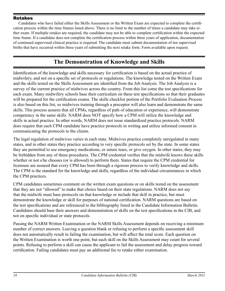#### Retakes

Candidates who have failed either the Skills Assessment or the Written Exam are expected to complete the certification process within the time frames listed above. There is no limit to the number of times a candidate may take either exam. If multiple retakes are required, the candidate may not be able to complete certification within the expected time frame. If a candidate does not complete the certification process within three years of application, documentation of continued supervised clinical practice is required. The candidate must submit documentation of ten supervised births that have occurred within three years of submitting the next retake form. Form available upon request.

# **The Demonstration of Knowledge and Skills**

Identification of the knowledge and skills necessary for certification is based on the actual practice of midwifery, and not on a specific set of protocols or regulations. The knowledge tested on the Written Exam and the skills tested on the Skills Assessment are identified from the Job Analysis. The Job Analysis is a survey of the current practice of midwives across the country. From this list come the test specifications for each exam. Many midwifery schools base their curriculum on these test specifications so that their graduates will be prepared for the certification exams. The skills checklist portion of the Portfolio Evaluation Process is also based on this list, so midwives training through a preceptor will also learn and demonstrate the same skills. This process assures that all CPMs, regardless of path of education or experience, will demonstrate competency in the same skills. NARM does NOT specify how a CPM will utilize the knowledge and skills in actual practice. In other words, NARM does not issue standardized practice protocols. NARM does require that each CPM candidate have practice protocols in writing and utilize informed consent in communicating the protocols to the clients.

The legal regulation of midwives varies in each state. Midwives practice completely unregulated in many states, and in other states they practice according to very specific protocols set by the state. In some states they are permitted to use emergency medications, or suture tears, or give oxygen. In other states, they may be forbidden from any of these procedures. The CPM credential verifies that the midwife knows these skills whether or not s/he chooses (or is allowed) to perform them. States that require the CPM credential for licensure are assured that every CPM has been through a rigorous process to verify knowledge and skills. The CPM is the standard for the knowledge and skills, regardless of the individual circumstances in which the CPM practices.

CPM candidates sometimes comment on the written exam questions or on skills tested on the assessment that they are not "allowed" to make that choice based on their state regulations. NARM does not say that the midwife must base protocols on that knowledge or include that skill in practice, but must demonstrate the knowledge or skill for purposes of national certification. NARM questions are based on the test specifications and are referenced to the bibliography listed in the Candidate Information Bulletin. Candidates should base their answers and demonstration of skills on the test specifications in the CIB, and not on specific individual or state protocols.

Passing the NARM Written Examination or the NARM Skills Assessment depends on receiving a minimum number of correct answers. Leaving a question blank or refusing to perform a specific assessment skill does not automatically result in failing the examination, but will affect the total score. Each question on the Written Examination is worth one point, but each skill on the Skills Assessment may count for several points. Refusing to perform a skill can cause the applicant to fail the assessment and delay progress toward certification. Failing candidates must pay an additional fee to retake either examination.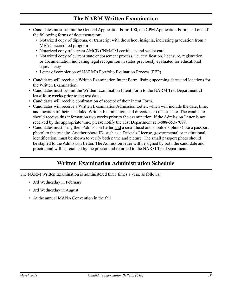## **The NARM Written Examination**

- Candidates must submit the General Application Form 100, the CPM Application Form, and one of the following forms of documentation:
	- Notarized copy of diploma, or transcript with the school insignia, indicating graduation from a MEAC-accredited program
	- Notarized copy of current AMCB CNM/CM certificate and wallet card
	- Notarized copy of current state endorsement process, i.e. certification, licensure, registration, or documentation indicating legal recognition in states previously evaluated for educational equivalency
	- Letter of completion of NARM's Portfolio Evaluation Process (PEP)
- Candidates will receive a Written Examination Intent Form, listing upcoming dates and locations for the Written Examination.
- Candidates must submit the Written Examination Intent Form to the NARM Test Department **at least four weeks** prior to the test date.
- Candidates will receive confirmation of receipt of their Intent Form.
- Candidates will receive a Written Examination Admission Letter, which will include the date, time, and location of their scheduled Written Examination, and directions to the test site. The candidate should receive this information two weeks prior to the examination. If the Admission Letter is not received by the appropriate time, please notify the Test Department at 1-888-353-7089.
- Candidates must bring their Admission Letter and a small head and shoulders photo (like a passport photo) to the test site. Another photo ID, such as a Driver's License, governmental or institutional identification, must be shown to verify both name and picture. The small passport photo should be stapled to the Admission Letter. The Admission letter will be signed by both the candidate and proctor and will be retained by the proctor and returned to the NARM Test Department.

# **Written Examination Administration Schedule**

The NARM Written Examination is administered three times a year, as follows:

- 3rd Wednesday in February
- 3rd Wednesday in August
- At the annual MANA Convention in the fall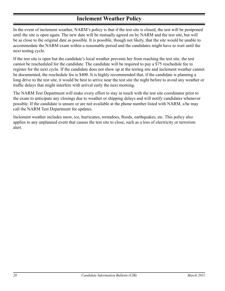## **Inclement Weather Policy**

In the event of inclement weather, NARM's policy is that if the test site is closed, the test will be postponed until the site is open again. The new date will be mutually agreed on by NARM and the test site, but will be as close to the original date as possible. It is possible, though not likely, that the site would be unable to accommodate the NARM exam within a reasonable period and the candidates might have to wait until the next testing cycle.

If the test site is open but the candidate's local weather prevents her from reaching the test site, the test cannot be rescheduled for the candidate. The candidate will be required to pay a \$75 reschedule fee to register for the next cycle. If the candidate does not show up at the testing site and inclement weather cannot be documented, the reschedule fee is \$400. It is highly recommended that, if the candidate is planning a long drive to the test site, it would be best to arrive near the test site the night before to avoid any weather or traffic delays that might interfere with arrival early the next morning.

The NARM Test Department will make every effort to stay in touch with the test site coordinator prior to the exam to anticipate any closings due to weather or shipping delays and will notify candidates whenever possible. If the candidate is unsure or are not available at the phone number listed with NARM, s/he may call the NARM Test Department for updates.

Inclement weather includes snow, ice, hurricanes, tornadoes, floods, earthquakes, etc. This policy also applies to any unplanned event that causes the test site to close, such as a loss of electricity or terrorism alert.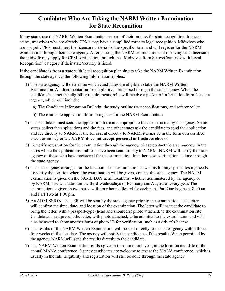## **Candidates Who Are Taking the NARM Written Examination for State Recognition**

Many states use the NARM Written Examination as part of their process for state recognition. In these states, midwives who are already CPMs may have a simplified route to legal recognition. Midwives who are not yet CPMs must meet the licensure criteria for the specific state, and will register for the NARM examination through their state agency. After passing the NARM examination and receiving state licensure, the midwife may apply for CPM certification through the "Midwives from States/Countries with Legal Recognition" category if their state/country is listed.

If the candidate is from a state with legal recognition planning to take the NARM Written Examination through the state agency, the following information applies:

- 1) The state agency will determine which candidates are eligible to take the NARM Written Examination. All documentation for eligibility is processed through the state agency. When the candidate has met the eligibility requirements, s/he will receive a packet of information from the state agency, which will include:
	- a) The Candidate Information Bulletin: the study outline (test specifications) and reference list.
	- b) The candidate application form to register for the NARM Examination
- 2) The candidate must send the application form and appropriate fee as instructed by the agency. Some states collect the applications and the fees, and other states ask the candidate to send the application and fee directly to NARM. If the fee is sent directly to NARM, it *must* be in the form of a certified check or money order. **NARM does not accept personal or business checks.**
- 3) To verify registration for the examination through the agency, please contact the state agency. In the cases where the applications and fees have been sent directly to NARM, NARM will notify the state agency of those who have registered for the examination. In either case, verification is done through the state agency.
- 4) The state agency arranges for the location of the examination as well as for any special testing needs. To verify the location where the examination will be given, contact the state agency. The NARM examination is given on the SAME DAY at all locations, whether administered by the agency or by NARM. The test dates are the third Wednesdays of February and August of every year. The examination is given in two parts, with four hours allotted for each part. Part One begins at 8:00 am and Part Two at 1:00 pm.
- 5) An ADMISSION LETTER will be sent by the state agency prior to the examination. This letter will confirm the time, date, and location of the examination. The letter will instruct the candidate to bring the letter, with a passport-type (head and shoulders) photo attached, to the examination site. Candidates must present the letter, with photo attached, to be admitted to the examination and will also be asked to show another form of photo ID for verification, such as a driver's license.
- 6) The results of the NARM Written Examination will be sent directly to the state agency within threefour weeks of the test date. The agency will notify the candidates of the results. When permitted by the agency, NARM will send the results directly to the candidate.
- 7) The NARM Written Examination is also given a third time each year, at the location and date of the annual MANA conference. Agency candidates are welcome to test at the MANA conference, which is usually in the fall. Eligibility and registration will still be done through the state agency.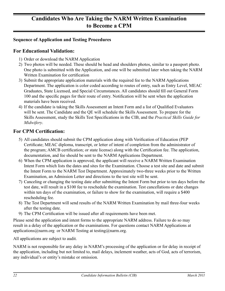# **Candidates Who Are Taking the NARM Written Examination to Become a CPM**

### **Sequence of Application and Testing Procedures**

### **For Educational Validation:**

- 1) Order or download the NARM Application
- 2) Two photos will be needed. These should be head and shoulders photos, similar to a passport photo. One photo is submitted with the Application, and one will be submitted later when taking the NARM Written Examination for certification
- 3) Submit the appropriate application materials with the required fee to the NARM Applications Department. The application is color coded according to routes of entry, such as Entry Level, MEAC Graduates, State Licensed, and Special Circumstances. All candidates should fill out General Form 100 and the specific pages for their route of entry. Notification will be sent when the application materials have been received.
- 4) If the candidate is taking the Skills Assessment an Intent Form and a list of Qualified Evaluators will be sent. The Candidate and the QE will schedule the Skills Assessment. To prepare for the Skills Assessment, study the Skills Test Specifications in the CIB, and the *Practical Skills Guide for Midwifery*.

### **For CPM Certification:**

- 5) All candidates should submit the CPM application along with Verification of Education (PEP Certificate; MEAC diploma, transcript, or letter of intent of completion from the administrator of the program; AMCB certification; or state license) along with the Certification fee. The application, documentation, and fee should be sent to the NARM Applications Department.
- 6) When the CPM application is approved, the applicant will receive a NARM Written Examination Intent Form which lists the dates and sites for the Examination. Choose a test site and date and submit the Intent Form to the NARM Test Department. Approximately two-three weeks prior to the Written Examination, an Admission Letter and directions to the test site will be sent.
- 7) Canceling or changing the testing date after submitting the Intent Form but prior to ten days before the test date, will result in a \$100 fee to reschedule the examination. Test cancellations or date changes within ten days of the examination, or failure to show for the examination, will require a \$400 rescheduling fee.
- 8) The Test Department will send results of the NARM Written Examination by mail three-four weeks after the testing date.
- 9) The CPM Certification will be issued after all requirements have been met.

Please send the application and intent forms to the appropriate NARM address. Failure to do so may result in a delay of the application or the examinations. For questions contact NARM Applications at applications@narm.org or NARM Testing at testing@narm.org.

All applications are subject to audit.

NARM is not responsible for any delay in NARM's processing of the application or for delay in receipt of the application, including but not limited to, mail delays, inclement weather, acts of God, acts of terrorism, any individual's or entity's mistake or omission.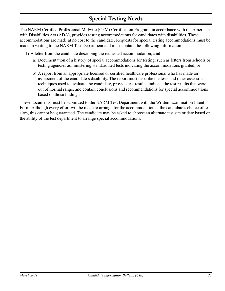# **Special Testing Needs**

The NARM Certified Professional Midwife (CPM) Certification Program, in accordance with the Americans with Disabilities Act (ADA), provides testing accommodations for candidates with disabilities. These accommodations are made at no cost to the candidate. Requests for special testing accommodations must be made in writing to the NARM Test Department and must contain the following information:

- 1) A letter from the candidate describing the requested accommodation; **and**
	- a) Documentation of a history of special accommodations for testing, such as letters from schools or testing agencies administering standardized tests indicating the accommodations granted; or
	- b) A report from an appropriate licensed or certified healthcare professional who has made an assessment of the candidate's disability. The report must describe the tests and other assessment techniques used to evaluate the candidate, provide test results, indicate the test results that were out of normal range, and contain conclusions and recommendations for special accommodations based on those findings.

These documents must be submitted to the NARM Test Department with the Written Examination Intent Form. Although every effort will be made to arrange for the accommodation at the candidate's choice of test sites, this cannot be guaranteed. The candidate may be asked to choose an alternate test site or date based on the ability of the test department to arrange special accommodations.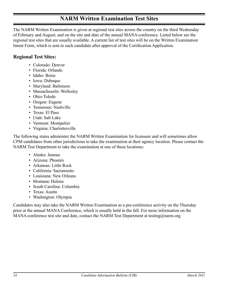## **NARM Written Examination Test Sites**

The NARM Written Examination is given at regional test sites across the country on the third Wednesday of February and August; and on the site and date of the annual MANA conference. Listed below are the regional test sites that are usually available. A current list of test sites will be on the Written Examination Intent Form, which is sent to each candidate after approval of the Certification Application.

### **Regional Test Sites:**

- Colorado: Denver
- Florida: Orlando
- Idaho: Boise
- Iowa: Dubuque
- Maryland: Baltimore
- Massachusetts: Wellesley
- Ohio-Toledo
- Oregon: Eugene
- Tennessee: Nashville
- Texas: El Paso
- Utah: Salt Lake
- Vermont: Montpelier
- Virginia: Charlottesville

The following states administer the NARM Written Examination for licensure and will sometimes allow CPM candidates from other jurisdictions to take the examination at their agency location. Please contact the NARM Test Department to take the examination at one of these locations:

- Alaska: Juneau
- Arizona: Phoenix
- Arkansas: Little Rock
- California: Sacramento
- Louisiana: New Orleans
- Montana: Helena
- South Carolina: Columbia
- Texas: Austin
- Washington: Olympia

Candidates may also take the NARM Written Examination as a pre-conference activity on the Thursday prior at the annual MANA Conference, which is usually held in the fall. For more information on the MANA conference test site and date, contact the NARM Test Department at testing@narm.org.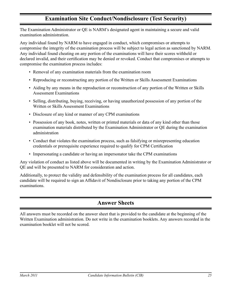## **Examination Site Conduct/Nondisclosure (Test Security)**

The Examination Administrator or QE is NARM's designated agent in maintaining a secure and valid examination administration.

Any individual found by NARM to have engaged in conduct, which compromises or attempts to compromise the integrity of the examination process will be subject to legal action as sanctioned by NARM. Any individual found cheating on any portion of the examinations will have their scores withheld or declared invalid, and their certification may be denied or revoked. Conduct that compromises or attempts to compromise the examination process includes:

- Removal of any examination materials from the examination room
- Reproducing or reconstructing any portion of the Written or Skills Assessment Examinations
- Aiding by any means in the reproduction or reconstruction of any portion of the Written or Skills Assessment Examinations
- Selling, distributing, buying, receiving, or having unauthorized possession of any portion of the Written or Skills Assessment Examinations
- Disclosure of any kind or manner of any CPM examinations
- Possession of any book, notes, written or printed materials or data of any kind other than those examination materials distributed by the Examination Administrator or QE during the examination administration
- Conduct that violates the examination process, such as falsifying or misrepresenting education credentials or prerequisite experience required to qualify for CPM Certification
- Impersonating a candidate or having an impersonator take the CPM examinations

Any violation of conduct as listed above will be documented in writing by the Examination Administrator or QE and will be presented to NARM for consideration and action.

Additionally, to protect the validity and defensibility of the examination process for all candidates, each candidate will be required to sign an Affidavit of Nondisclosure prior to taking any portion of the CPM examinations.

## **Answer Sheets**

All answers must be recorded on the answer sheet that is provided to the candidate at the beginning of the Written Examination administration. Do not write in the examination booklets. Any answers recorded in the examination booklet will not be scored.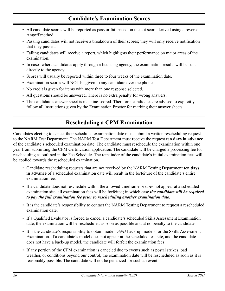## **Candidate's Examination Scores**

- All candidate scores will be reported as pass or fail based on the cut score derived using a reverse Angoff method.
- Passing candidates will not receive a breakdown of their scores; they will only receive notification that they passed.
- Failing candidates will receive a report, which highlights their performance on major areas of the examination.
- In cases where candidates apply through a licensing agency, the examination results will be sent directly to the agency.
- Scores will usually be reported within three to four weeks of the examination date.
- Examination scores will NOT be given to any candidate over the phone.
- No credit is given for items with more than one response selected.
- All questions should be answered. There is no extra penalty for wrong answers.
- The candidate's answer sheet is machine-scored. Therefore, candidates are advised to explicitly follow all instructions given by the Examination Proctor for marking their answer sheets.

# **Rescheduling a CPM Examination**

Candidates electing to cancel their scheduled examination date must submit a written rescheduling request to the NARM Test Department. The NARM Test Department must receive the request **ten days in advance** of the candidate's scheduled examination date. The candidate must reschedule the examination within one year from submitting the CPM Certification application. The candidate will be charged a processing fee for rescheduling as outlined in the Fee Schedule. The remainder of the candidate's initial examination fees will be applied towards the rescheduled examination.

- Candidate rescheduling requests that are not received by the NARM Testing Department **ten days in advance** of a scheduled examination date will result in the forfeiture of the candidate's entire examination fee.
- If a candidate does not reschedule within the allowed timeframe or does not appear at a scheduled examination site, all examination fees will be forfeited; in which case *the candidate will be required to pay the full examination fee prior to rescheduling another examination date.*
- It is the candidate's responsibility to contact the NARM Testing Department to request a rescheduled examination date.
- If a Qualified Evaluator is forced to cancel a candidate's scheduled Skills Assessment Examination date, the examination will be rescheduled as soon as possible and at no penalty to the candidate.
- It is the candidate's responsibility to obtain models *AND* back-up models for the Skills Assessment Examination. If a candidate's model does not appear at the scheduled test site, and the candidate does not have a back-up model, the candidate will forfeit the examination fees.
- If any portion of the CPM examination is canceled due to events such as postal strikes, bad weather, or conditions beyond our control, the examination date will be rescheduled as soon as it is reasonably possible. The candidate will not be penalized for such an event.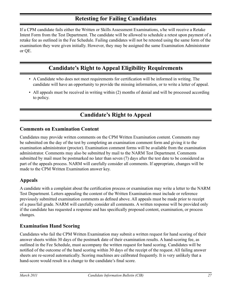# **Retesting for Failing Candidates**

If a CPM candidate fails either the Written or Skills Assessment Examinations, s/he will receive a Retake Intent Form from the Test Department. The candidate will be allowed to schedule a retest upon payment of a retake fee as outlined in the Fee Schedule. Failing candidates will not be retested using the same form of the examination they were given initially. However, they may be assigned the same Examination Administrator or QE.

# **Candidate's Right to Appeal Eligibility Requirements**

- A Candidate who does not meet requirements for certification will be informed in writing. The candidate will have an opportunity to provide the missing information, or to write a letter of appeal.
- All appeals must be received in writing within (2) months of denial and will be processed according to policy.

## **Candidate's Right to Appeal**

#### **Comments on Examination Content**

Candidates may provide written comments on the CPM Written Examination content. Comments may be submitted on the day of the test by completing an examination comment form and giving it to the examination administrator (proctor). Examination comment forms will be available from the examination administrator. Comments may also be submitted by mail to the NARM Test Department. Comments submitted by mail must be postmarked no later than seven (7) days after the test date to be considered as part of the appeals process. NARM will carefully consider all comments. If appropriate, changes will be made to the CPM Written Examination answer key.

### **Appeals**

A candidate with a complaint about the certification process or examination may write a letter to the NARM Test Department. Letters appealing the content of the Written Examination must include or reference previously submitted examination comments as defined above. All appeals must be made prior to receipt of a pass/fail grade. NARM will carefully consider all comments. A written response will be provided only if the candidate has requested a response and has specifically proposed content, examination, or process changes.

### **Examination Hand Scoring**

Candidates who fail the CPM Written Examination may submit a written request for hand scoring of their answer sheets within 30 days of the postmark date of their examination results. A hand-scoring fee, as outlined in the Fee Schedule, must accompany the written request for hand scoring. Candidates will be notified of the outcome of the hand scoring within 30 days of the receipt of the request. All failing answer sheets are re-scored automatically. Scoring machines are calibrated frequently. It is very unlikely that a hand-score would result in a change to the candidate's final score.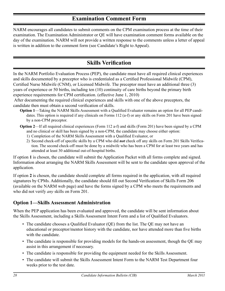## **Examination Comment Form**

NARM encourages all candidates to submit comments on the CPM examination process at the time of their examination. The Examination Administrator or QE will have examination comment forms available on the day of the examination. NARM will not provide a written response to the comments unless a letter of appeal is written in addition to the comment form (see Candidate's Right to Appeal).

# **Skills Verification**

In the NARM Portfolio Evaluation Process (PEP), the candidate must have all required clinical experiences and skills documented by a preceptor who is credentialed as a Certified Professional Midwife (CPM), Certified Nurse Midwife (CNM), or Licensed Midwife. The preceptor must have an additional three (3) years of experience or 50 births, including ten (10) continuity of care births beyond the primary birth experience requirements for CPM certification. (effective June 1, 2010)

 After documenting the required clinical experiences and skills with one of the above preceptors, the candidate then must obtain a second verification of skills.

- **Option 1**—Taking the NARM Skills Assessment with a Qualified Evaluator remains an option for all PEP candidates. This option is required if any clinicals on Forms 112 (a-f) or any skills on Form 201 have been signed by a non-CPM preceptor.
- **Option 2—If all required clinical experiences (Form 112 a-f) and skills (Form 201) have been signed by a CPM** and no clinical or skill has been signed by a non-CPM, the candidate may choose either option:
	- 1) Completion of the NARM Skills Assessment with a Qualified Evaluator, or
	- 2) Second check-off of specific skills by a CPM who did *not* check off any skills on Form 201 Skills Verification. The second check-off must be done by a midwife who has been a CPM for at least two years and has attended at least 30 additional out-of-hospital births.

If option **1** is chosen, the candidate will submit the Application Packet with all forms complete and signed. Information about arranging the NARM Skills Assessment will be sent to the candidate upon approval of the application.

If option **2** is chosen, the candidate should complete all forms required in the application, with all required signatures by CPMs. Additionally, the candidate should fill out Second Verification of Skills Form 206 (available on the NARM web page) and have the forms signed by a CPM who meets the requirements and who did not verify *any* skills on Form 201.

### **Option 1—Skills Assessment Administration**

When the PEP application has been evaluated and approved, the candidate will be sent information about the Skills Assessment, including a Skills Assessment Intent Form and a list of Qualified Evaluators.

- The candidate chooses a Qualified Evaluator (QE) from the list. The QE may not have an educational or preceptor/mentor history with the candidate, nor have attended more than five births with the candidate.
- The candidate is responsible for providing models for the hands-on assessment, though the QE may assist in this arrangement if necessary.
- The candidate is responsible for providing the equipment needed for the Skills Assessment.
- The candidate will submit the Skills Assessment Intent Form to the NARM Test Department four weeks prior to the test date.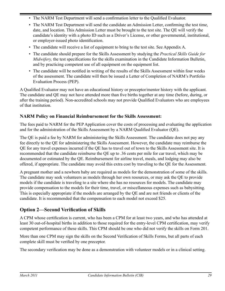- The NARM Test Department will send a confirmation letter to the Qualified Evaluator.
- The NARM Test Department will send the candidate an Admission Letter, confirming the test time, date, and location. This Admission Letter must be brought to the test site. The QE will verify the candidate's identity with a photo ID such as a Driver's License, or other governmental, institutional, or employer-issued photo identification.
- The candidate will receive a list of equipment to bring to the test site. See Appendix A.
- The candidate should prepare for the Skills Assessment by studying the *Practical Skills Guide for Midwifery,* the test specifications for the skills examination in the Candidate Information Bulletin, and by practicing competent use of all equipment on the equipment list.
- The candidate will be notified in writing of the results of the Skills Assessment within four weeks of the assessment. The candidate will then be issued a Letter of Completion of NARM's Portfolio Evaluation Process (PEP).

A Qualified Evaluator may not have an educational history or preceptor/mentor history with the applicant. The candidate and QE may not have attended more than five births together at any time (before, during, or after the training period). Non-accredited schools may not provide Qualified Evaluators who are employees of that institution.

### **NARM Policy on Financial Reimbursement for the Skills Assessment:**

The fees paid to NARM for the PEP Application cover the costs of processing and evaluating the application and for the administration of the Skills Assessment by a NARM Qualified Evaluator (QE).

The QE is paid a fee by NARM for administering the Skills Assessment. The candidate does not pay any fee directly to the QE for administering the Skills Assessment. However, the candidate may reimburse the QE for any travel expenses incurred if the QE has to travel out of town to the Skills Assessment site. It is recommended that the candidate reimburse the QE up to .36 cents per mile for car travel, which may be documented or estimated by the QE. Reimbursement for airline travel, meals, and lodging may also be offered, if appropriate. The candidate may avoid this extra cost by traveling to the QE for the Assessment.

A pregnant mother and a newborn baby are required as models for the demonstration of some of the skills. The candidate may seek volunteers as models through her own resources, or may ask the QE to provide models if the candidate is traveling to a site where she has no resources for models. The candidate may provide compensation to the models for their time, travel, or miscellaneous expenses such as babysitting. This is especially appropriate if the models are arranged by the QE and are not friends or clients of the candidate. It is recommended that the compensation to each model not exceed \$25.

### **Option 2—Second Verification of Skills**

A CPM whose certification is current, who has been a CPM for at least two years, and who has attended at least 30 out-of-hospital births in addition to those required for the entry-level CPM certification, may verify competent performance of these skills. This CPM should be one who did not verify the skills on Form 201.

More than one CPM may sign the skills on the Second Verification of Skills Forms, but all parts of each complete skill must be verified by one preceptor.

The secondary verification may be done as a demonstration with volunteer models or in a clinical setting.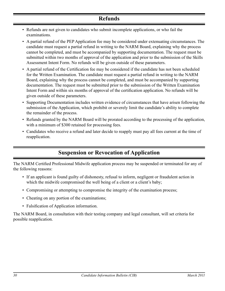## **Refunds**

- Refunds are not given to candidates who submit incomplete applications, or who fail the examinations.
- A partial refund of the PEP Application fee may be considered under extenuating circumstances. The candidate must request a partial refund in writing to the NARM Board, explaining why the process cannot be completed, and must be accompanied by supporting documentation. The request must be submitted within two months of approval of the application and prior to the submission of the Skills Assessment Intent Form. No refunds will be given outside of these parameters.
- A partial refund of the Certification fee may be considered if the candidate has not been scheduled for the Written Examination. The candidate must request a partial refund in writing to the NARM Board, explaining why the process cannot be completed, and must be accompanied by supporting documentation. The request must be submitted prior to the submission of the Written Examination Intent Form and within six months of approval of the certification application. No refunds will be given outside of these parameters.
- Supporting Documentation includes written evidence of circumstances that have arisen following the submission of the Application, which prohibit or severely limit the candidate's ability to complete the remainder of the process.
- Refunds granted by the NARM Board will be prorated according to the processing of the application, with a minimum of \$300 retained for processing fees.
- Candidates who receive a refund and later decide to reapply must pay all fees current at the time of reapplication.

# **Suspension or Revocation of Application**

The NARM Certified Professional Midwife application process may be suspended or terminated for any of the following reasons:

- If an applicant is found guilty of dishonesty, refusal to inform, negligent or fraudulent action in which the midwife compromised the well being of a client or a client's baby;
- Compromising or attempting to compromise the integrity of the examination process;
- Cheating on any portion of the examinations;
- Falsification of Application information.

The NARM Board, in consultation with their testing company and legal consultant, will set criteria for possible reapplication.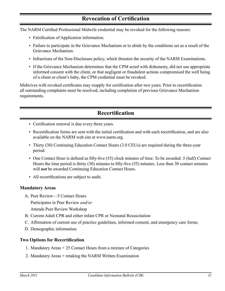## **Revocation of Certification**

The NARM Certified Professional Midwife credential may be revoked for the following reasons:

- Falsification of Application information.
- Failure to participate in the Grievance Mechanism or to abide by the conditions set as a result of the Grievance Mechanism.
- Infractions of the Non-Disclosure policy, which threaten the security of the NARM Examinations.
- If the Grievance Mechanism determines that the CPM acted with dishonesty, did not use appropriate informed consent with the client, or that negligent or fraudulent actions compromised the well being of a client or client's baby, the CPM credential must be revoked.

Midwives with revoked certificates may reapply for certification after two years. Prior to recertification all outstanding complaints must be resolved, including completion of previous Grievance Mechanism requirements.

## **Recertification**

- Certification renewal is due every three years.
- Recertification forms are sent with the initial certification and with each recertification, and are also available on the NARM web site at www.narm.org.
- Thirty (30) Continuing Education Contact Hours (3.0 CEUs) are required during the three-year period.
- One Contact Hour is defined as fifty-five (55) clock minutes of time. To be awarded .5 (half) Contact Hours the time period is thirty (30) minutes to fifty-five (55) minutes. Less than 30 contact minutes will *not* be awarded Continuing Education Contact Hours.
- All recertifications are subject to audit.

#### **Mandatory Areas**

- A. Peer Review—5 Contact Hours
	- Participates in Peer Review *and/or*
	- Attends Peer Review Workshop
- B. Current Adult CPR and either infant CPR or Neonatal Resuscitation
- C. Affirmation of current use of practice guidelines, informed consent, and emergency care forms.
- D. Demographic information

#### **Two Options for Recertification**

- 1. Mandatory Areas + 25 Contact Hours from a mixture of Categories
- 2. Mandatory Areas + retaking the NARM Written Examination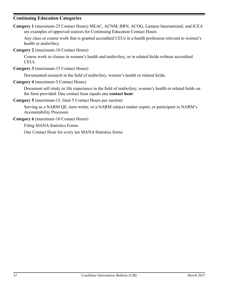#### **Continuing Education Categories**

**Category 1** (maximum-25 Contact Hours) MEAC, ACNM, BRN, ACOG, Lamaze International, and ICEA are examples of approved sources for Continuing Education Contact Hours.

Any class or course work that is granted accredited CEUs in a health profession relevant to women's health or midwifery.

**Category 2** (maximum-10 Contact Hours)

Course work or classes in women's health and midwifery, or in related fields without accredited CEUs.

**Category 3** (maximum-15 Contact Hours)

Documented research in the field of midwifery, women's health or related fields.

**Category 4** (maximum-5 Contact Hours)

Document self study or life experience in the field of midwifery, women's health or related fields on the form provided. One contact hour equals one **contact hour**.

**Category 5** (maximum-15, limit 5 Contact Hours per section)

Serving as a NARM QE, item writer, or a NARM subject matter expert, or participant in NARM's Accountability Processes

**Category 6** (maximum-10 Contact Hours)

Filing MANA Statistics Forms

One Contact Hour for every ten MANA Statistics forms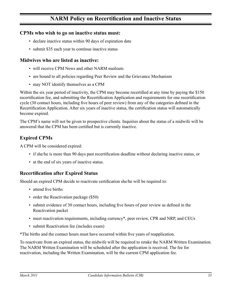## **NARM Policy on Recertification and Inactive Status**

#### **CPMs who wish to go on inactive status must:**

- declare inactive status within 90 days of expiration date
- submit \$35 each year to continue inactive status

#### **Midwives who are listed as inactive:**

- will receive CPM News and other NARM mailouts
- are bound to all policies regarding Peer Review and the Grievance Mechanism
- may NOT identify themselves as a CPM

Within the six year period of inactivity, the CPM may become recertified at any time by paying the \$150 recertification fee, and submitting the Recertification Application and requirements for one recertification cycle (30 contact hours, including five hours of peer review) from any of the categories defined in the Recertification Application. After six years of inactive status, the certification status will automatically become expired.

The CPM's name will not be given to prospective clients. Inquiries about the status of a midwife will be answered that the CPM has been certified but is currently inactive.

### **Expired CPMs**

A CPM will be considered expired:

- if she/he is more than 90 days past recertification deadline without declaring inactive status, or
- at the end of six years of inactive status.

#### **Recertification after Expired Status**

Should an expired CPM decide to reactivate certification she/he will be required to:

- attend five births
- order the Reactivation package (\$50)
- submit evidence of 30 contact hours, including five hours of peer review as defined in the Reactivation packet
- meet reactivation requirements, including currency\*, peer review, CPR and NRP, and CEUs
- submit Reactivation fee (includes exam)

\*The births and the contact hours must have occurred within five years of reapplication.

To reactivate from an expired status, the midwife will be required to retake the NARM Written Examination. The NARM Written Examination will be scheduled after the application is received. The fee for reactivation, including the Written Examination, will be the current CPM application fee.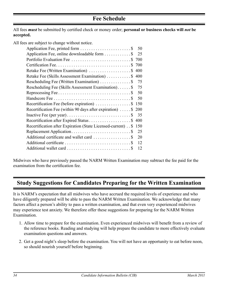## **Fee Schedule**

All fees *must* be submitted by certified check or money order; **personal or business checks will** *not* **be accepted.**

All fees are subject to change without notice.

|                                                                | 50         |
|----------------------------------------------------------------|------------|
| Application Fee, online downloadable form \$                   | 25         |
| Portfolio Evaluation Fee \$ 700                                |            |
|                                                                |            |
| Retake Fee (Written Examination) \$ 400                        |            |
| Retake Fee (Skills Assessment Examination) \$ 400              |            |
| Rescheduling Fee (Written Examination) \$                      | 75         |
| Rescheduling Fee (Skills Assessment Examination) \$            | 75         |
|                                                                | 50         |
|                                                                | 50         |
|                                                                | 150        |
| Recertification Fee (within 90 days after expiration)  \$      | <b>200</b> |
|                                                                | 35         |
|                                                                | 400        |
| Recertification after Expiration (State Licensed-current) . \$ | 150        |
|                                                                | 25         |
|                                                                | 20         |
|                                                                | 12         |
|                                                                | 12         |

Midwives who have previously passed the NARM Written Examination may subtract the fee paid for the examination from the certification fee.

## **Study Suggestions for Candidates Preparing for the Written Examination**

It is NARM's expectation that all midwives who have accrued the required levels of experience and who have diligently prepared will be able to pass the NARM Written Examination. We acknowledge that many factors affect a person's ability to pass a written examination, and that even very experienced midwives may experience test anxiety. We therefore offer these suggestions for preparing for the NARM Written **Examination** 

- 1. Allow time to prepare for the examination. Even experienced midwives will benefit from a review of the reference books. Reading and studying will help prepare the candidate to more effectively evaluate examination questions and answers.
- 2. Get a good night's sleep before the examination. You will not have an opportunity to eat before noon, so should nourish yourself before beginning.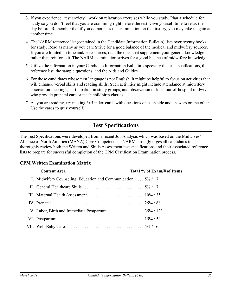- 3. If you experience "test anxiety," work on relaxation exercises while you study. Plan a schedule for study so you don't feel that you are cramming right before the test. Give yourself time to relax the day before. Remember that if you do not pass the examination on the first try, you may take it again at another time.
- 4. The NARM reference list (contained in the Candidate Information Bulletin) lists over twenty books for study. Read as many as you can. Strive for a good balance of the medical and midwifery sources. If you are limited on time and/or resources, read the ones that supplement your general knowledge rather than reinforce it. The NARM examination strives for a good balance of midwifery knowledge.
- 5. Utilize the information in your Candidate Information Bulletin, especially the test specifications, the reference list, the sample questions, and the Aids and Guides.
- 6. For those candidates whose first language is not English, it might be helpful to focus on activities that will enhance verbal skills and reading skills. Such activities might include attendance at midwifery association meetings, participation in study groups, and observation of local out-of-hospital midwives who provide prenatal care or teach childbirth classes.
- 7. As you are reading, try making 3x5 index cards with questions on each side and answers on the other. Use the cards to quiz yourself.

# **Test Specifications**

The Test Specifications were developed from a recent Job Analysis which was based on the Midwives' Alliance of North America (MANA) Core Competencies. NARM strongly urges all candidates to thoroughly review both the Written and Skills Assessment test specifications and their associated reference lists to prepare for successful completion of the CPM Certification Examination process.

#### **CPM Written Examination Matrix**

| <b>Content Area</b>                                                   | Total % of Exam/# of Items |
|-----------------------------------------------------------------------|----------------------------|
| I. Midwifery Counseling, Education and Communication $\ldots$ 5% / 17 |                            |
|                                                                       |                            |
|                                                                       |                            |
|                                                                       |                            |
|                                                                       |                            |
|                                                                       |                            |
|                                                                       |                            |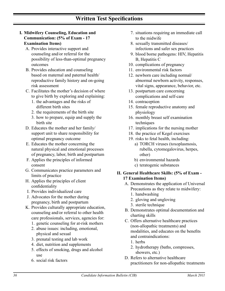## **Written Test Specifications**

#### **I. Midwifery Counseling, Education and Communication: (5% of Exam - 17 Examination Items)**

- A. Provides interactive support and counseling and/or referral for the possibility of less-than-optimal pregnancy outcomes
- B. Provides education and counseling based on maternal and paternal health/ reproductive family history and on-going risk assessment
- C. Facilitates the mother's decision of where to give birth by exploring and explaining:
	- 1. the advantages and the risks of different birth sites
	- 2. the requirements of the birth site
	- 3. how to prepare, equip and supply the birth site
- D. Educates the mother and her family/ support unit to share responsibility for optimal pregnancy outcome
- E. Educates the mother concerning the natural physical and emotional processes of pregnancy, labor, birth and postpartum
- F. Applies the principles of informed consent
- G. Communicates practice parameters and limits of practice
- H. Applies the principles of client confidentiality
- I. Provides individualized care
- J. Advocates for the mother during pregnancy, birth and postpartum
- K. Provides culturally appropriate education, counseling and/or referral to other health care professionals, services, agencies for:
	- 1. genetic counseling for at-risk mothers
	- 2. abuse issues: including, emotional, physical and sexual
	- 3. prenatal testing and lab work
	- 4. diet, nutrition and supplements
	- 5. effects of smoking, drugs and alcohol use
	- 6. social risk factors
- 7. situations requiring an immediate call to the midwife
- 8. sexually transmitted diseases/ infections and safer sex practices
- 9. blood borne pathogens: HIV, Hepatitis B, Hepatitis C
- 10. complications of pregnancy
- 11. environmental risk factors
- 12. newborn care including normal/ abnormal newborn activity, responses, vital signs, appearance, behavior, etc.
- 13. postpartum care concerning complications and self-care
- 14. contraception
- 15. female reproductive anatomy and physiology
- 16. monthly breast self examination techniques
- 17. implications for the nursing mother
- 18. the practice of Kegel exercises
- 19. risks to fetal health, including:
	- a) TORCH viruses (toxoplasmosis, rubella, cytomegalovirus, herpes, other)
	- b) environmental hazards
	- c) teratogenic substances

#### **II. General Healthcare Skills: (5% of Exam - 17 Examination Items)**

- A. Demonstrates the application of Universal Precautions as they relate to midwifery:
	- 1. handwashing
	- 2. gloving and ungloving
	- 3. sterile technique
- B. Demonstrates optimal documentation and charting skills
- C. Offers alternative healthcare practices (non-allopathic treatments) and modalities, and educates on the benefits and contraindications:
	- 1. herbs
	- 2. hydrotherapy (baths, compresses, showers, etc.)
- D. Refers to alternative healthcare practitioners for non-allopathic treatments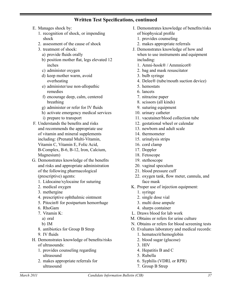- E. Manages shock by:
	- 1. recognition of shock, or impending shock
	- 2. assessment of the cause of shock
	- 3. treatment of shock:
		- a) provide fluids orally
		- b) position mother flat, legs elevated 12 inches
		- c) administer oxygen
		- d) keep mother warm, avoid overheating
		- e) administer/use non-allopathic remedies
		- f) encourage deep, calm, centered breathing
		- g) administer or refer for IV fluids
		- h) activate emergency medical services
		- i) prepare to transport
- F. Understands the benefits and risks and recommends the appropriate use of vitamin and mineral supplements including: (Prenatal Multi-Vitamin, Vitamin C, Vitamin E, Folic Acid, B-Complex, B-6, B-12, Iron, Calcium, Magnesium)
- G. Demonstrates knowledge of the benefits and risks and appropriate administration of the following pharmacological (prescriptive) agents:
	- 1. Lidocaine/xylocaine for suturing
	- 2. medical oxygen
	- 3. methergine
	- 4. prescriptive ophthalmic ointment
	- 5. Pitocin® for postpartum hemorrhage
	- 6. RhoGam
	- 7. Vitamin K:
	- a) oral
	- b) IM
	- 8. antibiotics for Group B Strep
	- 9. IV fluids
- H. Demonstrates knowledge of benefits/risks of ultrasounds:
	- 1. provides counseling regarding ultrasound
	- 2. makes appropriate referrals for ultrasound
- I. Demonstrates knowledge of benefits/risks of biophysical profile
	- 1. provides counseling
	- 2. makes appropriate referrals
- J. Demonstrates knowledge of how and when to use instruments and equipment including:
	- 1. Amni-hook® / Ammnicot®
	- 2. bag and mask resuscitator
	- 3. bulb syringe
	- 4. Delee® (tube/mouth suction device)
	- 5. hemostats
	- 6. lancets
	- 7. nitrazine paper
	- 8. scissors (all kinds)
	- 9. suturing equipment
	- 10. urinary catheter
	- 11. vacutainer/blood collection tube
	- 12. gestational wheel or calendar
	- 13. newborn and adult scale
	- 14. thermometer
	- 15. urinalysis strips
	- 16. cord clamp
	- 17. Doppler
	- 18. Fetoscope
	- 19. stethoscope
	- 20. vaginal speculum
	- 21. blood pressure cuff
	- 22. oxygen tank, flow meter, cannula, and face mask
- K. Proper use of injection equipment:
	- 1. syringe
	- 2. single dose vial
	- 3. multi dose ampule
	- 4. sharps container
- L. Draws blood for lab work
- M. Obtains or refers for urine culture
- N. Obtains or refers for blood screening tests
- O. Evaluates laboratory and medical records:
	- 1. hematocrit/hemoglobin
	- 2. blood sugar (glucose)
	- 3. HIV
	- 4. Hepatitis B and C
	- 5. Rubella
	- 6. Syphilis (VDRL or RPR)
	- 7. Group B Strep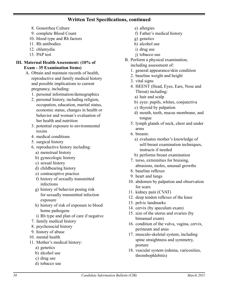- 8. Gonorrhea Culture
- 9. complete Blood Count
- 10. blood type and Rh factors
- 11. Rh antibodies
- 12. chlamydia
- 13. PAP test

#### **III. Maternal Health Assessment: (10% of Exam - 35 Examination Items)**

- A. Obtain and maintain records of health, reproductive and family medical history and possible implications to current pregnancy, including:
	- 1. personal information/demographics
	- 2. personal history, including religion, occupation, education, marital status, economic status, changes in health or behavior and woman's evaluation of her health and nutrition
	- 3. potential exposure to environmental toxins
	- 4. medical conditions
	- 5. surgical history
	- 6. reproductive history including:
		- a) menstrual history
		- b) gynecologic history
		- c) sexual history
		- d) childbearing history
		- e) contraceptive practice
		- f) history of sexually transmitted infections
		- g) history of behavior posing risk for sexually transmitted infection exposure
		- h) history of risk of exposure to blood borne pathogens
		- i) Rh type and plan of care if negative
	- 7. family medical history
	- 8. psychosocial history
	- 9. history of abuse
	- 10. mental health
	- 11. Mother's medical history:
		- a) genetics
		- b) alcohol use
		- c) drug use
		- d) tobacco use
- e) allergies
- f) Father's medical history
- g) genetics
- h) alcohol use
- i) drug use
- j) tobacco use
- B. Perform a physical examination,
	- including assessment of:
		- 1. general appearance/skin condition
		- 2. baseline weight and height
		- 3. vital signs
		- 4. HEENT (Head, Eyes, Ears, Nose and Throat) including:
			- a) hair and scalp
			- b) eyes: pupils, whites, conjunctiva
			- c) thyroid by palpation
			- d) mouth, teeth, mucus membrane, and tongue
		- 5. lymph glands of neck, chest and under arms
		- 6. breasts:
			- a) evaluates mother's knowledge of self-breast examination techniques, instructs if needed
			- b) performs breast examination
		- 7. torso, extremities for bruising, abrasions, moles, unusual growths
		- 8. baseline reflexes
		- 9. heart and lungs
	- 10. abdomen by palpation and observation for scars
	- 11. kidney pain (CVAT)
	- 12. deep tendon reflexes of the knee
	- 13. pelvic landmarks
	- 14. cervix (by speculum exam)
	- 15. size of the uterus and ovaries (by bimanual exam)
	- 16. condition of the vulva, vagina, cervix, perineum and anus
	- 17. musculo-skeletal system, including spine straightness and symmetry, posture
	- 18. vascular system (edema, varicosities, thrombophlebitis)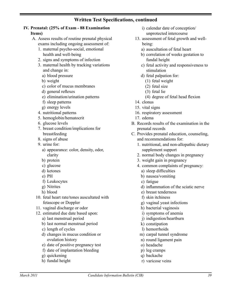#### **IV. Prenatal: (25% of Exam - 88 Examination Items)**

- A. Assess results of routine prenatal physical exams including ongoing assessment of:
	- 1. maternal psycho-social, emotional health and well-being
	- 2. signs and symptoms of infection
	- 3. maternal health by tracking variations and change in:
		- a) blood pressure
		- b) weight
		- c) color of mucus membranes
		- d) general reflexes
		- e) elimination/urination patterns
		- f) sleep patterns
		- g) energy levels
	- 4. nutritional patterns
	- 5. hemoglobin/hematocrit
	- 6. glucose levels
	- 7. breast condition/implications for breastfeeding
	- 8. signs of abuse
	- 9. urine for:
		- a) appearance: color, density, odor, clarity
		- b) protein
		- c) glucose
		- d) ketones
		- e) PH
		- f) Leukocytes
		- g) Nitrites
		- h) blood
	- 10. fetal heart rate/tones auscultated with fetascope or Doppler
	- 11. vaginal discharge or odor
	- 12. estimated due date based upon:
		- a) last menstrual period
		- b) last normal menstrual period
		- c) length of cycles
		- d) changes in mucus condition or ovulation history
		- e) date of positive pregnancy test
		- f) date of implantation bleeding
		- g) quickening
		- h) fundal height
- i) calendar date of conception/ unprotected intercourse
- 13. assessment of fetal growth and wellbeing:
	- a) auscultation of fetal heart
	- b) correlation of weeks gestation to fundal height
	- c) fetal activity and responsiveness to stimulation
	- d) fetal palpation for:
		- (1) fetal weight
		- (2) fetal size
		- (3) fetal lie
		- (4) degree of fetal head flexion
- 14. clonus
- 15. vital signs
- 16. respiratory assessment
- 17. edema
- B. Records results of the examination in the prenatal records
- C. Provides prenatal education, counseling, and recommendations for:
	- 1. nutritional, and non-allopathic dietary supplement support
	- 2. normal body changes in pregnancy
	- 3. weight gain in pregnancy
	- 4. common complaints of pregnancy:
		- a) sleep difficulties
		- b) nausea/vomiting
		- c) fatigue
		- d) inflammation of the sciatic nerve
		- e) breast tenderness
		- f) skin itchiness
		- g) vaginal yeast infections
		- h) bacterial vaginosis
		- i) symptoms of anemia
		- j) indigestion/heartburn
		- k) constipation
		- l) hemorrhoids
		- m) carpal tunnel syndrome
		- n) round ligament pain
		- o) headache
		- p) leg cramps
		- q) backache
		- r) varicose veins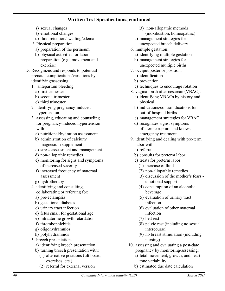- s) sexual changes
- t) emotional changes
- u) fluid retention/swelling/edema
- 3 Physical preparation:
	- a) preparation of the perineum
	- b) physical activities for labor preparation (e.g., movement and exercise)
- D. Recognizes and responds to potential prenatal complications/variations by identifying/assessing:
	- 1. antepartum bleeding
		- a) first trimester
		- b) second trimester
		- c) third trimester
	- 2. identifying pregnancy-induced hypertension
	- 3. assessing, educating and counseling for pregnancy-induced hypertension with:
		- a) nutritional/hydration assessment
		- b) administration of calcium/ magnesium supplement
		- c) stress assessment and management
		- d) non-allopathic remedies
		- e) monitoring for signs and symptoms of increased severity
		- f) increased frequency of maternal assessment
		- g) hydrotherapy
	- 4. identifying and consulting, collaborating or referring for:
		- a) pre-eclampsia
		- b) gestational diabetes
		- c) urinary tract infection
		- d) fetus small for gestational age
		- e) intrauterine growth retardation
		- f) thrombophlebitis
		- g) oligohydramnios
		- h) polyhydramnios
	- 5. breech presentations:
		- a) identifying breech presentation
		- b) turning breech presentation with:
			- (1) alternative positions (tilt board, exercises, etc.)
			- (2) referral for external version
- (3) non-allopathic methods (moxibustion, homeopathic)
- c) management strategies for unexpected breech delivery
- 6. multiple gestation:
	- a) identifying multiple gestation
	- b) management strategies for unexpected multiple births
- 7. occiput posterior position:
	- a) identification
	- b) prevention
	- c) techniques to encourage rotation
- 8. vaginal birth after cesarean (VBAC):
	- a) identifying VBACs by history and physical
	- b) indications/contraindications for out-of-hospital births
	- c) management strategies for VBAC
	- d) recognizes signs, symptoms of uterine rupture and knows emergency treatment
- 9. identifying and dealing with pre-term labor with:
	- a) referral
	- b) consults for preterm labor
	- c) treats for preterm labor:
		- (1) increase of fluids
		- (2) non-allopathic remedies
		- (3) discussion of the mother's fears emotional support
		- (4) consumption of an alcoholic beverage
		- (5) evaluation of urinary tract infection
		- (6) evaluation of other maternal infection
		- (7) bed rest
		- (8) pelvic rest (including no sexual intercourse)
		- (9) no breast stimulation (including nursing)
- 10. assessing and evaluating a post-date pregnancy by monitoring/assessing:
	- a) fetal movement, growth, and heart tone variability
	- b) estimated due date calculation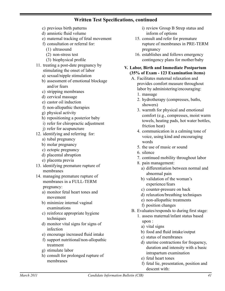- c) previous birth patterns
- d) amniotic fluid volume
- e) maternal tracking of fetal movement
- f) consultation or referral for:
	- (1) ultrasound
	- (2) non-stress test
	- (3) biophysical profile
- 11. treating a post-date pregnancy by stimulating the onset of labor
	- a) sexual/nipple stimulation
	- b) assessment of emotional blockage and/or fears
	- c) stripping membranes
	- d) cervical massage
	- e) castor oil induction
	- f) non-allopathic therapies
	- g) physical activity
	- h) repositioning a posterior baby
	- i) refer for chiropractic adjustment
	- j) refer for acupuncture
- 12. identifying and referring for:
	- a) tubal pregnancy
	- b) molar pregnancy
	- c) ectopic pregnancy
	- d) placental abruption
	- e) placenta previa
- 13. identifying premature rupture of membranes
- 14. managing premature rupture of membranes in a FULL-TERM pregnancy:
	- a) monitor fetal heart tones and movement
	- b) minimize internal vaginal examinations
	- c) reinforce appropriate hygiene techniques
	- d) monitor vital signs for signs of infection
	- e) encourage increased fluid intake
	- f) support nutritional/non-allopathic treatment
	- g) stimulate labor
	- h) consult for prolonged rupture of membranes
- i) review Group B Strep status and inform of options
- 15. consult and refer for premature rupture of membranes in PRE-TERM pregnancy
- 16. establishes and follows emergency contingency plans for mother/baby

#### **V. Labor, Birth and Immediate Postpartum (35% of Exam - 123 Examination items)**

- A. Facilitates maternal relaxation and provides comfort measure throughout labor by administering/encouraging:
	- 1. massage
	- 2. hydrotherapy (compresses, baths, showers)
	- 3. warmth for physical and emotional comfort (e.g., compresses, moist warm towels, heating pads, hot water bottles, friction heat)
	- 4. communication in a calming tone of voice, using kind and encouraging words
	- 5. the use of music or sound
	- 6. silence
	- 7. continued mobility throughout labor
	- 8. pain management:
		- a) differentiation between normal and abnormal pain
		- b) validation of the woman's experience/fears
		- c) counter-pressure on back
		- d) relaxation/breathing techniques
		- e) non-allopathic treatments
		- f) position changes
- B. Evaluates/responds to during first stage:
	- 1. assess maternal/infant status based upon :
		- a) vital signs
		- b) food and fluid intake/output
		- c) status of membranes
		- d) uterine contractions for frequency, duration and intensity with a basic intrapartum examination
		- e) fetal heart tones
		- f) fetal lie, presentation, position and descent with: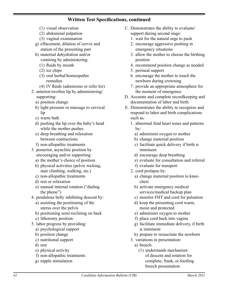- (1) visual observation
- (2) abdominal palpation
- (3) vaginal examination
- g) effacement, dilation of cervix and station of the presenting part
- h) maternal dehydration and/or vomiting by administering:
	- (1) fluids by mouth
	- (2) ice chips
	- (3) oral herbal/homeopathic remedies
	- (4) IV fluids (administer or refer for)
- 2. anterior/swollen lip by administering/ supporting:
	- a) position change
	- b) light pressure or massage to cervical lip
	- c) warm bath
	- d) pushing the lip over the baby's head while the mother pushes
	- e) deep breathing and relaxation between contractions
	- f) non-allopathic treatments
- 3. posterior, asynclitic position by encouraging and/or supporting:
	- a) the mother's choice of position
	- b) physical activities (pelvic rocking, stair climbing, walking, etc.)
	- c) non-allopathic treatments
	- d) rest or relaxation
	- e) manual internal rotation ("dialing the phone")
- 4. pendulous belly inhibiting descent by:
	- a) assisting the positioning of the uterus over the pelvis
	- b) positioning semi-reclining on back c) lithotomy position
- 5. labor progress by providing:
	- a) psychological support
	- b) position change
	- c) nutritional support
	- d) rest
	- e) physical activity
	- f) non-allopathic treatments
	- g) nipple stimulation
- C. Demonstrates the ability to evaluate/ support during second stage:
	- 1. wait for the natural urge to push
	- 2. encourage aggressive pushing in emergency situations
	- 3. allow the mother to choose the birthing position
	- 4. recommend position change as needed
	- 5. perineal support
	- 6. encourage the mother to touch the newborn during crowning
	- 7. provide an appropriate atmosphere for the moment of emergence
- D. Accurate and complete recordkeeping and documentation of labor and birth
- E. Demonstrates the ability to recognize and respond to labor and birth complications such as:
	- 1. abnormal fetal heart tones and patterns by:
		- a) administer oxygen to mother
		- b) change maternal position
		- c) facilitate quick delivery if birth is imminent
		- d) encourage deep breathing
		- e) evaluate for consultation and referral
		- f) evaluate for transport
	- 2. cord prolapse by:
		- a) change maternal position to kneechest
		- b) activate emergency medical services/medical backup plan
		- c) monitor FHT and cord for pulsation
		- d) keep the presenting cord warm, moist and protected
		- e) administer oxygen to mother
		- f) place cord back into vagina
		- g) facilitate immediate delivery, if birth is imminent
		- h) prepare to resuscitate the newborn
	- 3. variations in presentation:
		- a) breech:
			- (1) understands mechanism of descent and rotation for complete, frank, or footling breech presentation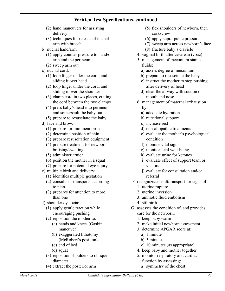- (2) hand maneuvers for assisting delivery
- (3) techniques for release of nuchal arm with breech
- b) nuchal hand/arm:
	- (1) apply counter pressure to hand/or arm and the perineum
	- (2) sweep arm out
- c) nuchal cord:
	- (1) loop finger under the cord, and sliding it over head
	- (2) loop finger under the cord, and sliding it over the shoulder
	- (3) clamp cord in two places, cutting the cord between the two clamps
	- (4) press baby's head into perineum and somersault the baby out
	- (5) prepare to resuscitate the baby
- d) face and brow:
	- (1) prepare for imminent birth
	- (2) determine position of chin
	- (3) prepare resuscitation equipment
	- (4) prepare treatment for newborn bruising/swelling
	- (5) administer arnica
	- (6) position the mother in a squat
	- (7) prepare for potential eye injury
- e) multiple birth and delivery:
	- (1) identifies multiple gestation
	- (2) consults or transports according to plan
	- (3) prepares for attention to more than one
- f) shoulder dystocia:
	- (1) apply gentle traction while encouraging pushing
	- (2) reposition the mother to:
		- (a) hands and knees (Gaskin maneuver)
		- (b) exaggerated lithotomy (McRobert's position)
		- (c) end of bed
		- (d) squat
	- (3) reposition shoulders to oblique diameter
	- (4) extract the posterior arm
- (5) flex shoulders of newborn, then corkscrew
- (6) apply supra-pubic pressure
- (7) sweep arm across newborn's face
- (8) fracture baby's clavicle
- 4. vaginal birth after cesarean (vbac)
- 5. management of meconium stained fluids:
	- a) assess degree of meconium
	- b) prepare to resuscitate the baby
	- c) instruct the mother to stop pushing after delivery of head
	- d) clear the airway with suction of mouth and nose
- 6. management of maternal exhaustion by:
	- a) adequate hydration
	- b) nutritional support
	- c) increase rest
	- d) non-allopathic treatments
	- e) evaluate the mother's psychological condition
	- f) monitor vital signs
	- g) monitor fetal well-being
	- h) evaluate urine for ketones
	- i) evaluate effect of support team or visitors
	- j) evaluate for consultation and/or referral
- F. recognize/consult/transport for signs of:
	- 1. uterine rupture
	- 2. uterine inversion
	- 3. amniotic fluid embolism
	- 4. stillbirth
- G. assesses the condition of, and provides care for the newborn:
	- 1. keep baby warm
	- 2. make initial newborn assessment
	- 3. determine APGAR score at:
		- a) 1 minute
		- b) 5 minutes
		- c) 10 minutes (as appropriate)
	- 4. keep baby and mother together
	- 5. monitor respiratory and cardiac function by assessing:
		- a) symmetry of the chest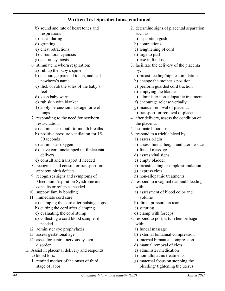- b) sound and rate of heart tones and respirations
- c) nasal flaring
- d) grunting
- e) chest retractions
- f) circumoral cyanosis
- g) central cyanosis
- 6. stimulate newborn respiration:
	- a) rub up the baby's spine
	- b) encourage parental touch, and call newborn's name
	- c) flick or rub the soles of the baby's feet
	- d) keep baby warm
	- e) rub skin with blanket
	- f) apply percussion massage for wet lungs
- 7. responding to the need for newborn resuscitation:
	- a) administer mouth-to-mouth breaths
	- b) positive pressure ventilation for 15- 30 seconds
	- c) administer oxygen
	- d) leave cord unclamped until placenta delivers
	- e) consult and transport if needed
- 8. recognize and consult or transport for apparent birth defects
- 9. recognizes signs and symptoms of Meconium Aspiration Syndrome and consults or refers as needed
- 10. support family bonding
- 11. immediate cord care:
	- a) clamping the cord after pulsing stops
	- b) cutting the cord after clamping
	- c) evaluating the cord stump
	- d) collecting a cord blood sample, if needed
- 12. administer eye prophylaxis
- 13. assess gestational age
- 14. asses for central nervous system disorder
- H. Assist in placental delivery and responds to blood loss:
	- 1. remind mother of the onset of third stage of labor
- 2. determine signs of placental separation such as:
	- a) separation gush
	- b) contractions
	- c) lengthening of cord
	- d) urge to push
	- e) rise in fundus
- 3. facilitate the delivery of the placenta by:
	- a) breast feeding/nipple stimulation
	- b) change the mother's position
	- c) perform guarded cord traction
	- d) emptying the bladder
	- e) administer non-allopathic treatment
	- f) encourage release verbally
	- g) manual removal of placenta
	- h) transport for removal of placenta
- 4. after delivery, assess the condition of the placenta
- 5. estimate blood loss
- 6. respond to a trickle bleed by:
	- a) assess origin
	- b) assess fundal height and uterine size
	- c) fundal massage
	- d) assess vital signs
	- e) empty bladder
	- f) breastfeeding or nipple stimulation
	- g) express clots
	- h) non-allopathic treatments
- 7. respond to a vaginal tear and bleeding with:
	- a) assessment of blood color and volume
	- b) direct pressure on tear
	- c) suturing
	- d) clamp with forceps
- 8. respond to postpartum hemorrhage with:
	- a) fundal massage
	- b) external bimanual compression
	- c) internal bimanual compression
	- d) manual removal of clots
	- e) administer medication
	- f) non-allopathic treatments
	- g) maternal focus on stopping the bleeding/ tightening the uterus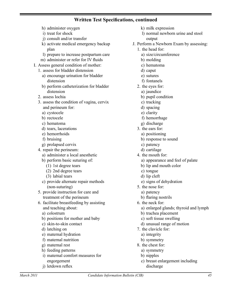- h) administer oxygen
- i) treat for shock
- j) consult and/or transfer
- k) activate medical emergency backup plan
- l) prepare to increase postpartum care
- m) administer or refer for IV fluids
- I. Assess general condition of mother:
	- 1. assess for bladder distension
		- a) encourage urination for bladder distension
		- b) perform catheterization for bladder distension
	- 2. assess lochia
	- 3. assess the condition of vagina, cervix and perineum for:
		- a) cystocele
		- b) rectocele
		- c) hematoma
		- d) tears, lacerations
		- e) hemorrhoids
		- f) bruising
		- g) prolapsed cervix
	- 4. repair the perineum:
		- a) administer a local anesthetic
		- b) perform basic suturing of:
			- (1) 1st degree tears
			- (2) 2nd degree tears
			- (3) labial tears
		- c) provide alternate repair methods (non-suturing)
	- 5. provide instruction for care and treatment of the perineum
	- 6. facilitate breastfeeding by assisting and teaching about:
		- a) colostrum
		- b) positions for mother and baby
		- c) skin-to-skin contact
		- d) latching on
		- e) maternal hydration
		- f) maternal nutrition
		- g) maternal rest
		- h) feeding patterns
		- i) maternal comfort measures for engorgement
		- j) letdown reflex
- k) milk expression
- l) normal newborn urine and stool output
- J. Perform a Newborn Exam by assessing:
	- 1. the head for:
		- a) size/circumference
		- b) molding
		- c) hematoma
		- d) caput
		- e) sutures
		- f) fontanels
	- 2. the eyes for:
		- a) jaundice
		- b) pupil condition
		- c) tracking
		- d) spacing
		- e) clarity
		- f) hemorrhage
		- g) discharge
	- 3. the ears for:
		- a) positioning
		- b) response to sound
		- c) patency
		- d) cartilage
	- 4. the mouth for:
		- a) appearance and feel of palate
		- b) lip and mouth color
		- c) tongue
		- d) lip cleft
		- e) signs of dehydration
	- 5. the nose for:
		- a) patency
		- b) flaring nostrils
	- 6. the neck for:
		- a) enlarged glands; thyroid and lymph
		- b) trachea placement
		- c) soft tissue swelling
		- d) unusual range of motion
	- 7. the clavicle for:
		- a) integrity
		- b) symmetry
	- 8. the chest for:
		- a) symmetry
		- b) nipples
		- c) breast enlargement including discharge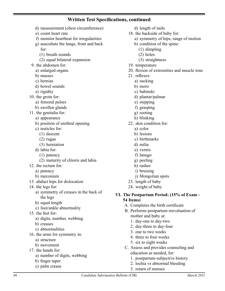- d) measurement (chest circumference)
- e) count heart rate
- f) monitor heartbeat for irregularities
- g) auscultate the lungs, front and back for:
	- (1) breath sounds
	- (2) equal bilateral expansion
- 9. the abdomen for:
	- a) enlarged organs
	- b) masses
	- c) hernias
	- d) bowel sounds
	- e) rigidity
- 10. the groin for:
	- a) femoral pulses
	- b) swollen glands
- 11. the genitalia for:
	- a) appearance
	- b) position of urethral opening
	- c) testicles for:
		- (1) descent
		- (2) rugae
		- (3) herniation
	- d) labia for:
		- (1) patency
		- (2) maturity of clitoris and labia
- 12. the rectum for:
	- a) patency
	- b) meconium
- 13. abduct hips for dislocation
- 14. the legs for:
	- a) symmetry of creases in the back of the legs
	- b) equal length
	- c) foot/ankle abnormality
- 15. the feet for:
	- a) digits, number, webbing
	- b) creases
	- c) abnormalities
- 16. the arms for symmetry in:
	- a) structure
	- b) movement
- 17. the hands for:
	- a) number of digits, webbing
	- b) finger taper
	- c) palm crease
- d) length of nails
- 18. the backside of baby for:
	- a) symmetry of hips, range of motion
	- b) condition of the spine:
		- (1) dimpling
		- (2) holes
		- (3) straightness
- 19. temperature
- 20. flexion of extremities and muscle tone
- 21. reflexes:
	- a) sucking
	- b) moro
	- c) babinski
	- d) plantar/palmar
	- e) stepping
	- f) grasping
	- g) rooting
	- h) blinking
- 22. skin condition for:
	- a) color
	- b) lesions
	- c) birthmarks
	- d) milia
	- e) vernix
	- f) lanugo
	- g) peeling
	- h) rashes
	- i) bruising
	- j) Mongolian spots
- 23. length of baby
- 24. weight of baby

#### **VI. The Postpartum Period: (15% of Exam - 54 Items)**

- A. Completes the birth certificate
- B. Performs postpartum reevaluation of mother and baby at:
	- 1. day-one to day-two
	- 2. day-three to day-four
	- 3. one to two weeks
	- 4. three to four weeks
	- 5. six to eight weeks
- C. Assess and provides counseling and education as needed, for:
	- 1. postpartum-subjective history
	- 2. lochia vs abnormal bleeding
	- 3. return of menses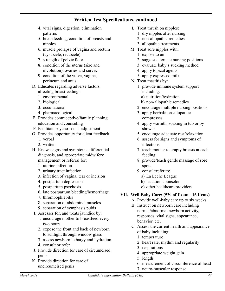- 4. vital signs, digestion, elimination patterns
- 5. breastfeeding, condition of breasts and nipples
- 6. muscle prolapse of vagina and rectum (cystocele, rectocele)
- 7. strength of pelvic floor
- 8. condition of the uterus (size and involution), ovaries and cervix
- 9. condition of the vulva, vagina, perineum and anus
- D. Educates regarding adverse factors affecting breastfeeding:
	- 1. environmental
	- 2. biological
	- 3. occupational
	- 4. pharmacological
- E. Provides contraceptive/family planning education and counseling
- F. Facilitate psycho-social adjustment
- G. Provides opportunity for client feedback:
	- 1. verbal
	- 2. written
- H. Knows signs and symptoms, differential diagnosis, and appropriate midwifery management or referral for:
	- 1. uterine infection
	- 2. urinary tract infection
	- 3. infection of vaginal tear or incision
	- 4. postpartum depression
	- 5. postpartum psychosis
	- 6. late postpartum bleeding/hemorrhage
	- 7. thrombophlebitis
	- 8. separation of abdominal muscles
	- 9. separation of symphasis pubis
- I. Assesses for, and treats jaundice by:
	- 1. encourage mother to breastfeed every two hours
	- 2. expose the front and back of newborn to sunlight through window glass
	- 3. assess newborn lethargy and hydration
	- 4. consult or refer
- J. Provide direction for care of circumcised penis
- K. Provide direction for care of uncircumcised penis
- L. Treat thrush on nipples:
	- 1. dry nipples after nursing
	- 2. non-allopathic remedies
	- 3. allopathic treatments
- M. Treat sore nipples with:
	- 1. expose to air
	- 2. suggest alternate nursing positions
	- 3. evaluate baby's sucking method
	- 4. apply topical agents
	- 5. apply expressed milk
- N. Treat mastitis by:
	- 1. provide immune system support including:
		- a) nutrition/hydration
		- b) non-allopathic remedies
	- 2. encourage multiple nursing positions
	- 3. apply herbal/non-allopathic compresses
	- 4. apply warmth, soaking in tub or by shower
	- 5. encourage adequate rest/relaxation
	- 6. assess for signs and symptoms of infections
	- 7. teach mother to empty breasts at each feeding
	- 8. provide/teach gentle massage of sore spots
	- 9. consult/refer to:
		- a) La Leche League
		- b) lactation counselor
		- c) other healthcare providers

### **VII. Well-Baby Care: (5% of Exam - 16 Items)**

- A. Provide well-baby care up to six weeks
- B. Instruct on newborn care including normal/abnormal newborn activity, responses, vital signs, appearance, behavior, etc.
- C. Assess the current health and appearance of baby including:
	- 1. temperature
	- 2. heart rate, rhythm and regularity
	- 3. respirations
	- 4. appropriate weight gain
	- 5. length
	- 6. measurement of circumference of head
	- 7. neuro-muscular response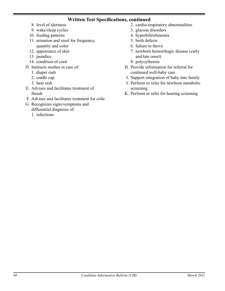- 8. level of alertness
- 9. wake/sleep cycles
- 10. feeding patterns
- 11. urination and stool for frequency, quantity and color
- 12. appearance of skin
- 13. jaundice
- 14. condition of cord
- D. Instructs mother in care of:
	- 1. diaper rash
	- 2. cradle cap
	- 3. heat rash
- E. Advises and facilitates treatment of thrush
- F. Advises and facilitates treatment for colic
- G. Recognizes signs/symptoms and differential diagnosis of:
	- 1. infections
- 2. cardio-respiratory abnormalities
- 3. glucose disorders
- 4. hyperbilirubinemia
- 5. birth defects
- 6. failure to thrive
- 7. newborn hemorrhagic disease (early and late onset)
- 8. polycythemia
- H. Provide information for referral for continued well-baby care
- I. Support integration of baby into family
- J. Perform or refer for newborn metabolic screening
- K. Perform or refer for hearing screening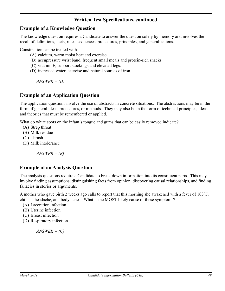#### **Example of a Knowledge Question**

The knowledge question requires a Candidate to answer the question solely by memory and involves the recall of definitions, facts, rules, sequences, procedures, principles, and generalizations.

Constipation can be treated with

- (A) calcium, warm moist heat and exercise.
- (B) accupressure wrist band, frequent small meals and protein-rich snacks.
- (C) vitamin E, support stockings and elevated legs.
- (D) increased water, exercise and natural sources of iron.

*ANSWER = (D)*

#### **Example of an Application Question**

The application questions involve the use of abstracts in concrete situations. The abstractions may be in the form of general ideas, procedures, or methods. They may also be in the form of technical principles, ideas, and theories that must be remembered or applied.

What do white spots on the infant's tongue and gums that can be easily removed indicate?

- (A) Strep throat
- (B) Milk residue
- (C) Thrush
- (D) Milk intolerance

*ANSWER = (B)*

### **Example of an Analysis Question**

The analysis questions require a Candidate to break down information into its constituent parts. This may involve finding assumptions, distinguishing facts from opinion, discovering causal relationships, and finding fallacies in stories or arguments.

A mother who gave birth 2 weeks ago calls to report that this morning she awakened with a fever of 103°F, chills, a headache, and body aches. What is the MOST likely cause of these symptoms?

- (A) Laceration infection
- (B) Uterine infection
- (C) Breast infection
- (D) Respiratory infection

*ANSWER = (C)*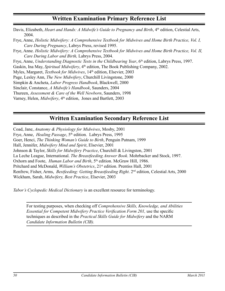## **Written Examination Primary Reference List**

Davis, Elizabeth, *Heart and Hands: A Midwife's Guide to Pregnancy and Birth*, 4<sup>th</sup> edition, Celestial Arts, 2004.

Frye, Anne, *Holistic Midwifery: A Comprehensive Textbook for Midwives and Home Birth Practice, Vol. I, Care During Pregnancy*, Labrys Press, revised 1995.

Frye, Anne. *Holistic Midwifery: A Comprehensive Textbook for Midwives and Home Birth Practice, Vol. II, Care During Labor and Birth,* Labrys Press, 2004.

Frye, Anne, *Understanding Diagnostic Tests in the Childbearing Year*, 6<sup>th</sup> edition, Labrys Press, 1997.

Gaskin, Ina May, *Spiritual Midwifery*, 4th edition, The Book Publishing Company, 2002.

Myles, Margaret, *Textbook for Midwives*, 14<sup>th</sup> edition, Elsevier, 2003

Page, Lesley Ann, *The New Midwifery*, Churchill Livingstone, 2000

Simpkin & Ancheta, *Labor Progress Handbook*, Blackwell, 2000

Sinclair, Constance, *A Midwife's Handbook*, Saunders, 2004

Thureen, *Assessment & Care of the Well Newborn*, Saunders, 1998

Varney, Helen, *Midwifery*, 4<sup>th</sup> edition, Jones and Bartlett, 2003

## **Written Examination Secondary Reference List**

Coad, Jane, *Anatomy & Physiology for Midwives*, Mosby, 2001 Frye, Anne, *Healing Passage*, 5<sup>th</sup> edition. Labrys Press, 1995 Goer, Henci, *The Thinking Woman's Guide to Birth*, Penguin Putnam, 1999 Hall, Jennifer, *Midwifery Mind and Spirit*, Elsevier, 2001 Johnson & Taylor, *Skills for Midwifery Practice*, Churchill & Livingston, 2001 La Leche League, International. *The Breastfeeding Answer Book*. Mohrbacker and Stock, 1997. Oxhorn and Foote, *Human Labor and Birth*, 5<sup>th</sup> edition. McGraw Hill, 1986. Pritchard and McDonald, *William's Obstetrics*, 21<sup>st</sup> edition. Prentiss Hall, 2001 Renfrew, Fisher, Arms, *Bestfeeding: Getting Breastfeeding Right*. 2nd edition, Celestial Arts, 2000 Wickham, Sarah, *Midwifery, Best Practice*, Elsevier, 2003

*Tabor's Cyclopedic Medical Dictionary* is an excellent resource for terminology.

For testing purposes, when checking off *Comprehensive Skills, Knowledge, and Abilities Essential for Competent Midwifery Practice Verification Form 201,* use the specific techniques as described in the *Practical Skills Guide for Midwifery* and the NARM *Candidate Information Bulletin (CIB).*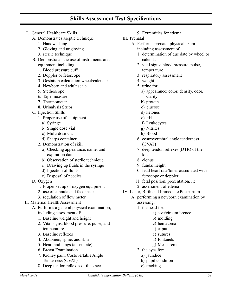## **Skills Assessment Test Specifications**

- I. General Healthcare Skills
	- A. Demonstrates aseptic technique
		- 1. Handwashing
		- 2. Gloving and ungloving
		- 3. sterile technique
	- B. Demonstrates the use of instruments and equipment including:
		- 1. Blood pressure cuff
		- 2. Doppler or fetoscope
		- 3. Gestation calculation wheel/calendar
		- 4. Newborn and adult scale
		- 5. Stethoscope
		- 6. Tape measure
		- 7. Thermometer
		- 8. Urinalysis Strips
	- C. Injection Skills
		- 1. Proper use of equipment
			- a) Syringe
			- b) Single dose vial
			- c) Multi dose vial
			- d) Sharps container
		- 2. Demonstration of skill
			- a) Checking appearance, name, and expiration date
			- b) Observation of sterile technique
			- c) Drawing up fluids in the syringe
			- d) Injection of fluids
			- e) Disposal of needles
	- D. Oxygen
		- 1. Proper set up of oxygen equipment
		- 2. use of cannula and face mask
		- 3. regulation of flow meter
- II. Maternal Health Assessment
	- A. Performs a general physical examination, including assessment of:
		- 1. Baseline weight and height
		- 2. Vital signs: blood pressure, pulse, and temperature
		- 3. Baseline reflexes
		- 4. Abdomen, spine, and skin
		- 5. Heart and lungs (auscultate)
		- 6. Breast Examination
		- 7. Kidney pain; Costovertable Angle Tenderness (CVAT)
		- 8. Deep tendon reflexes of the knee
- 9. Extremities for edema
- III. Prenatal
	- A. Performs prenatal physical exam including assessment of:
		- 1. determination of due date by wheel or calendar
		- 2. vital signs: blood pressure, pulse, temperature
		- 3. respiratory assessment
		- 4. weight
		- 5. urine for:
			- a) appearance: color, density, odor, clarity
			- b) protein
			- c) glucose
			- d) ketones
			- e) PH
			- f) Leukocytes
			- g) Nitrites
			- h) Blood
		- 6. costrovertebral angle tenderness (CVAT)
		- 7. deep tendon reflexes (DTR) of the knee
		- 8. clonus
		- 9. fundal height
		- 10. fetal heart rate/tones ausculated with fetoscope or doppler
	- 11. fetal position, presentation, lie
	- 12. assessment of edema
- IV. Labor, Birth and Immediate Postpartum
	- A. performing a newborn examination by assessing:
		- 1. the head for:
			- a) size/circumference
			- b) molding
			- c) hematoma
			- d) caput
			- e) sutures
			- f) fontanels
			- g) Measurement
		- 2. the eyes for:
			- a) jaundice
			- b) pupil condition
			- c) tracking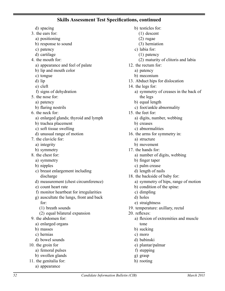#### **Skills Assessment Test Specifications, continued**

- d) spacing
- 3. the ears for:
	- a) positioning
	- b) response to sound
	- c) patency
	- d) cartilage
- 4. the mouth for:
	- a) appearance and feel of palate
	- b) lip and mouth color
	- c) tongue
	- d) lip
	- e) cleft
	- f) signs of dehydration
- 5. the nose for:
	- a) patency
	- b) flaring nostrils
- 6. the neck for:
	- a) enlarged glands; thyroid and lymph
	- b) trachea placement
	- c) soft tissue swelling
	- d) unusual range of motion
- 7. the clavicle for:
	- a) integrity
	- b) symmetry
- 8. the chest for:
	- a) symmetry
	- b) nipples
	- c) breast enlargement including discharge
	- d) measurement (chest circumference)
	- e) count heart rate
	- f) monitor heartbeat for irregularities
	- g) auscultate the lungs, front and back for:
		- (1) breath sounds
		- (2) equal bilateral expansion
- 9. the abdomen for:
	- a) enlarged organs
	- b) masses
	- c) hernias
	- d) bowel sounds
- 10. the groin for
	- a) femoral pulses
	- b) swollen glands
- 11. the genitalia for:
	- a) appearance
- b) testicles for:
- (1) descent
- (2) rugae
- (3) herniation
- c) labia for:
	- (1) patency
	- (2) maturity of clitoris and labia
- 12. the rectum for:
	- a) patency
	- b) meconium
- 13. Abduct hips for dislocation
- 14. the legs for:
	- a) symmetry of creases in the back of the legs
	- b) equal length
	- c) foot/ankle abnormality
- 15. the feet for:
	- a) digits, number, webbing
	- b) creases
	- c) abnormalities
- 16. the arms for symmetry in:
	- a) structure
	- b) movement
- 17. the hands for:
	- a) number of digits, webbing
	- b) finger taper
	- c) palm crease
	- d) length of nails
- 18. the backside of baby for:
	- a) symmetry of hips, range of motion
	- b) condition of the spine:
	- c) dimpling
	- d) holes
	- e) straightness
- 19. temperature: axillary, rectal
- 20. reflexes:
	- a) flexion of extremities and muscle tone
	- b) sucking
	- c) moro
	- d) babinski
	- e) plantar/palmar
	- f) stepping
	- g) grasp
	- h) rooting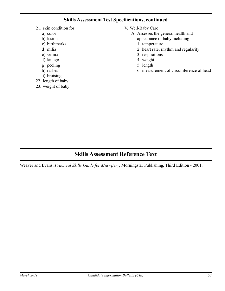## **Skills Assessment Test Specifications, continued**

- 21. skin condition for:
	- a) color
	- b) lesions
	- c) birthmarks
	- d) milia
	- e) vernix
	- f) lanugo
	- g) peeling
	- h) rashes
	- i) bruising
- 22. length of baby
- 23. weight of baby
- V. Well-Baby Care
	- A. Assesses the general health and appearance of baby including:
		- 1. temperature
		- 2. heart rate, rhythm and regularity
		- 3. respirations
		- 4. weight
		- 5. length
		- 6. measurement of circumference of head

# **Skills Assessment Reference Text**

Weaver and Evans, *Practical Skills Guide for Midwifery*, Morningstar Publishing, Third Edition - 2001.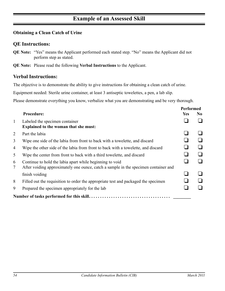# **Example of an Assessed Skill**

#### **Obtaining a Clean Catch of Urine**

#### **QE Instructions:**

- **QE Note:** "Yes" means the Applicant performed each stated step. "No" means the Applicant did not perform step as stated.
- **QE Note:** Please read the following **Verbal Instructions** to the Applicant.

#### **Verbal Instructions:**

The objective is to demonstrate the ability to give instructions for obtaining a clean catch of urine.

Equipment needed: Sterile urine container, at least 3 antiseptic towelettes, a pen, a lab slip.

Please demonstrate everything you know, verbalize what you are demonstrating and be very thorough.

|                |                                                                                     | <b>Performed</b> |     |
|----------------|-------------------------------------------------------------------------------------|------------------|-----|
|                | <b>Procedure:</b>                                                                   | <b>Yes</b>       | No. |
| $\mathbf{1}$   | Labeled the specimen container                                                      |                  |     |
|                | Explained to the woman that she must:                                               |                  |     |
| 2              | Part the labia                                                                      |                  |     |
| 3              | Wipe one side of the labia from front to back with a towelette, and discard         |                  |     |
| $\overline{4}$ | Wipe the other side of the labia from front to back with a towelette, and discard   |                  |     |
| 5              | Wipe the center from front to back with a third towelette, and discard              |                  |     |
| 6              | Continue to hold the labia apart while beginning to void                            |                  |     |
| $\tau$         | After voiding approximately one ounce, catch a sample in the specimen container and |                  |     |
|                | finish voiding                                                                      |                  |     |
| 8              | Filled out the requisition to order the appropriate test and packaged the specimen  |                  |     |
| 9              | Prepared the specimen appropriately for the lab                                     |                  |     |
|                |                                                                                     |                  |     |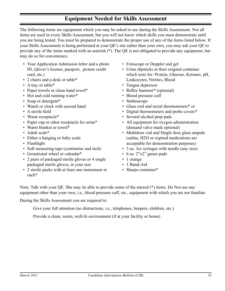## **Equipment Needed for Skills Assessment**

The following items are equipment which you may be asked to use during the Skills Assessment. Not all items are used in every Skills Assessment, but you will not know which skills you must demonstrate until you are being tested. You must be prepared to demonstrate the proper use of any of the items listed below. If your Skills Assessment is being performed at your QE's site rather than your own, you may ask your QE to provide any of the items marked with an asterisk (\*). The QE is not obligated to provide any equipment, but may do so for convenience.

- Your Application Admission letter and a photo ID, (driver's license, passport, picture credit card, etc.)
- 2 chairs and a desk or table\*
- A tray or table\*
- Paper towels or clean hand towel\*
- Hot and cold running water\*
- Soap or detergent\*
- Watch or clock with second hand
- A sterile field
- Waste receptacle\*
- Paper cup or other receptacle for urine\*
- Warm blanket or towel\*
- Adult scale\*
- Either a hanging or baby scale
- Flashlight
- Soft measuring tape (centimeter and inch)
- Gestational wheel or calendar\*
- 2 pairs of packaged sterile gloves or 4 single packaged sterile gloves, in your size
- 2 sterile packs with at least one instrument in each\*
- Fetoscope or Doppler and gel
- Urine dipsticks in their original container which tests for: Protein, Glucose, Ketones, pH, Leukocytes, Nitrites, Blood
- Tongue depressor
- Reflex hammer<sup>\*</sup> (optional)
- Blood pressure cuff
- Stethoscope
- Glass oral and rectal thermometers\* or
- Digital thermometers and probe covers\*
- Several alcohol prep pads
- All equipment for oxygen administration (demand valve mask optional)
- Multidose vial and Single dose glass ampule (saline, H2O or expired medications are acceptable for demonstration purposes)
- 3 ea. 3cc syringes with needle (any size)
- 6 ea. 2"x2" gauze pads
- 1 orange
- 1 Band-Aid
- Sharps container\*

Note: Talk with your QE. She may be able to provide some of the starred (\*) items. Do Not use any equipment other than your own, i.e., blood pressure cuff, etc., equipment with which you are not familiar.

During the Skills Assessment you are required to:

Give your full attention (no distractions, i.e., telephones, beepers, children, etc.)

Provide a clean, warm, well-lit environment (if at your facility or home)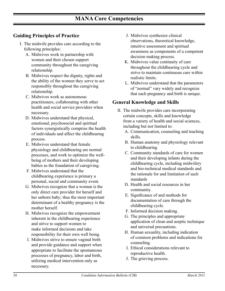## **Guiding Principles of Practice**

- I. The midwife provides care according to the following principles:
	- A. Midwives work in partnership with women and their chosen support community throughout the caregiving relationship.
	- B. Midwives respect the dignity, rights and the ability of the women they serve to act responsibly throughout the caregiving relationship.
	- C. Midwives work as autonomous practitioners, collaborating with other health and social service providers when necessary.
	- D. Midwives understand that physical, emotional, psychosocial and spiritual factors synergistically comprise the health of individuals and affect the childbearing process.
	- E. Midwives understand that female physiology and childbearing are normal processes, and work to optimize the wellbeing of mothers and their developing babies as the foundation of caregiving.
	- F. Midwives understand that the childbearing experience is primary a personal, social and community event.
	- G. Midwives recognize that a woman is the only direct care provider for herself and her unborn baby; thus the most important determinant of a healthy pregnancy is the mother herself.
	- H. Midwives recognize the empowerment inherent in the childbearing experience and strive to support women to make informed decisions and take responsibility for their own well being.
	- I. Midwives strive to ensure vaginal birth and provide guidance and support when appropriate to facilitate the spontaneous processes of pregnancy, labor and birth, utilizing medical intervention only as necessary.
- J. Midwives synthesize clinical observations, theoretical knowledge, intuitive assessment and spiritual awareness as components of a competent decision making process.
- K. Midwives value continuity of care throughout the childbearing cycle and strive to maintain continuous care within realistic limits.
- L. Midwives understand that the parameters of "normal" vary widely and recognize that each pregnancy and birth is unique.

### **General Knowledge and Skills**

- II. The midwife provides care incorporating certain concepts, skills and knowledge from a variety of health and social sciences, including but not limited to:
	- A. Communication, counseling and teaching skills.
	- B. Human anatomy and physiology relevant to childbearing
	- C. Community standards of care for women and their developing infants during the childbearing cycle, including midwifery and bio-technical medical standards and the rationale for and limitation of such standards
	- D. Health and social resources in her community.
	- E. Significance of and methods for documentation of care through the childbearing cycle.
	- F. Informed decision making.
	- G. The principles and appropriate application of clean and aseptic technique and universal precautions.
	- H. Human sexuality, including indication of common problems and indications for counseling.
	- I. Ethical considerations relevant to reproductive health.
	- J. The grieving process.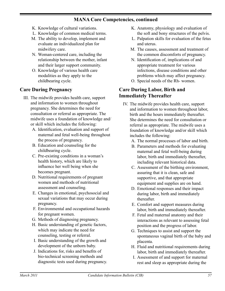### **MANA Core Competencies, continued**

- K. Knowledge of cultural variations.
- L. Knowledge of common medical terms.
- M. The ability to develop, implement and evaluate an individualized plan for midwifery care.
- N. Woman-centered care, including the relationship between the mother, infant and their larger support community.
- O. Knowledge of various health care modalities as they apply to the childbearing cycle.

## **Care During Pregnancy**

- III. The midwife provides health care, support and information to women throughout pregnancy. She determines the need for consultation or referral as appropriate. The midwife uses a foundation of knowledge and/ or skill which includes the following:
	- A. Identification, evaluation and support of maternal and fetal well-being throughout the process of pregnancy.
	- B. Education and counseling for the childbearing cycle.
	- C. Pre-existing conditions in a woman's health history, which are likely to influence her well being when she becomes pregnant.
	- D. Nutritional requirements of pregnant women and methods of nutritional assessment and counseling.
	- E. Changes in emotional, psychosocial and sexual variations that may occur during pregnancy.
	- F. Environmental and occupational hazards for pregnant women.
	- G. Methods of diagnosing pregnancy.
	- H. Basic understanding of genetic factors, which may indicate the need for counseling, testing or referral.
	- I. Basic understanding of the growth and development of the unborn baby.
	- J. Indications for, risks and benefits of bio-technical screening methods and diagnostic tests used during pregnancy.
- K. Anatomy, physiology and evaluation of the soft and bony structures of the pelvis.
- L. Palpation skills for evaluation of the fetus and uterus.
- M. The causes, assessment and treatment of the common discomforts of pregnancy.
- N. Identification of, implications of and appropriate treatment for various infections, disease conditions and other problems which may affect pregnancy.
- O. Special needs of the Rh- women.

### **Care During Labor, Birth and Immediately Thereafter**

- IV. The midwife provides health care, support and information to women throughout labor, birth and the hours immediately thereafter. She determines the need for consultation or referral as appropriate. The midwife uses a foundation of knowledge and/or skill which includes the following:
	- A. The normal processes of labor and birth.
	- B. Parameters and methods for evaluating maternal and fetal well-being during labor, birth and immediately thereafter, including relevant historical data.
	- C. Assessment of the birthing environment, assuring that it is clean, safe and supportive, and that appropriate equipment and supplies are on hand.
	- D. Emotional responses and their impact during labor, birth and immediately thereafter.
	- E. Comfort and support measures during labor, birth and immediately thereafter.
	- F. Fetal and maternal anatomy and their interactions as relevant to assessing fetal position and the progress of labor.
	- G. Techniques to assist and support the spontaneous vaginal birth of the baby and placenta.
	- H. Fluid and nutritional requirements during labor, birth and immediately thereafter.
	- I. Assessment of and support for maternal rest and sleep as appropriate during the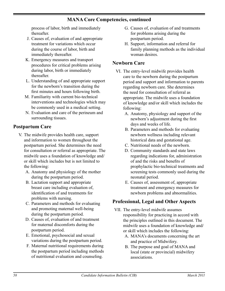#### **MANA Core Competencies, continued**

process of labor, birth and immediately thereafter.

- J. Causes of, evaluation of and appropriate treatment for variations which occur during the course of labor, birth and immediately thereafter.
- K. Emergency measures and transport procedures for critical problems arising during labor, birth or immediately thereafter.
- L. Understanding of and appropriate support for the newborn's transition during the first minutes and hours following birth.
- M. Familiarity with current bio-technical interventions and technologies which may be commonly used in a medical setting.
- N. Evaluation and care of the perineum and surrounding tissues.

## **Postpartum Care**

- V. The midwife provides health care, support and information to women throughout the postpartum period. She determines the need for consultation or referral as appropriate. The midwife uses a foundation of knowledge and/ or skill which includes but is not limited to the following:
	- A. Anatomy and physiology of the mother during the postpartum period.
	- B. Lactation support and appropriate breast care including evaluation of, identification of and treatments for problems with nursing.
	- C. Parameters and methods for evaluating and promoting maternal well-being during the postpartum period.
	- D. Causes of, evaluation of and treatment for maternal discomforts during the postpartum period.
	- E. Emotional, psychosocial and sexual variations during the postpartum period.
	- F. Maternal nutritional requirements during the postpartum period including methods of nutritional evaluation and counseling.
- G. Causes of, evaluation of and treatments for problems arising during the postpartum period.
- H. Support, information and referral for family planning methods as the individual woman desires.

## **Newborn Care**

- VI. The entry-level midwife provides health care to the newborn during the postpartum period and support and information to parents regarding newborn care. She determines the need for consultation of referral as appropriate. The midwife uses a foundation of knowledge and/or skill which includes the following:
	- A. Anatomy, physiology and support of the newborn's adjustment during the first days and weeks of life.
	- B. Parameters and methods for evaluating newborn wellness including relevant historical data and gestational age.
	- C. Nutritional needs of the newborn.
	- D. Community standards and state laws regarding indications for, administration of and the risks and benefits of prophylactic bio-technical treatments and screening tests commonly used during the neonatal period.
	- E. Causes of, assessment of, appropriate treatment and emergency measures for newborn problems and abnormalities.

## **Professional, Legal and Other Aspects**

- VII. The entry-level midwife assumes responsibility for practicing in accord with the principles outlined in this document. The midwife uses a foundation of knowledge and/ or skill which includes the following:
	- A. MANA's documents concerning the art and practice of Midwifery.
	- B. The purpose and goal of MANA and local (state or provincial) midwifery associations.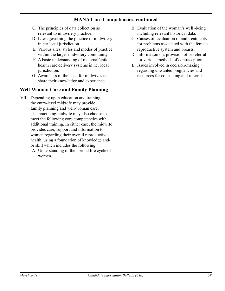### **MANA Core Competencies, continued**

- C. The principles of data collection as relevant to midwifery practice.
- D. Laws governing the practice of midwifery in her local jurisdiction.
- E. Various sites, styles and modes of practice within the larger midwifery community.
- F. A basic understanding of maternal/child health care delivery systems in her local jurisdiction.
- G. Awareness of the need for midwives to share their knowledge and experience.

### **Well-Woman Care and Family Planning**

- VIII. Depending upon education and training, the entry-level midwife may provide family planning and well-woman care. The practicing midwife may also choose to meet the following core competencies with additional training. In either case, the midwife provides care, support and information to women regarding their overall reproductive health, using a foundation of knowledge and/ or skill which includes the following:
	- A. Understanding of the normal life cycle of women.
- B. Evaluation of the woman's well -being including relevant historical data.
- C. Causes of, evaluation of and treatments for problems associated with the female reproductive system and breasts.
- D. Information on, provision of or referral for various methods of contraception.
- E. Issues involved in decision-making regarding unwanted pregnancies and resources for counseling and referral.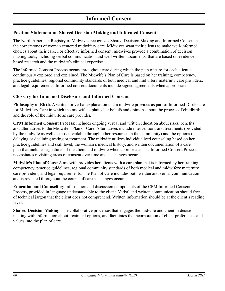#### **Position Statement on Shared Decision Making and Informed Consent**

The North American Registry of Midwives recognizes Shared Decision Making and Informed Consent as the cornerstones of woman centered midwifery care. Midwives want their clients to make well-informed choices about their care. For effective informed consent, midwives provide a combination of decision making tools, including verbal communication and well written documents, that are based on evidencebased research and the midwife's clinical expertise.

The Informed Consent Process occurs throughout care during which the plan of care for each client is continuously explored and explained. The Midwife's Plan of Care is based on her training, competency, practice guidelines, regional community standards of both medical and midwifery maternity care providers, and legal requirements. Informed consent documents include signed agreements when appropriate.

#### **Glossary for Informed Disclosure and Informed Consent**

**Philosophy of Birth**: A written or verbal explanation that a midwife provides as part of Informed Disclosure for Midwifery Care in which the midwife explains her beliefs and opinions about the process of childbirth and the role of the midwife as care provider.

**CPM Informed Consent Process**: includes ongoing verbal and written education about risks, benefits and alternatives to the Midwife's Plan of Care. Alternatives include interventions and treatments (provided by the midwife as well as those available through other resources in the community) and the options of delaying or declining testing or treatment. The midwife utilizes individualized counseling based on her practice guidelines and skill level, the woman's medical history, and written documentation of a care plan that includes signatures of the client and midwife when appropriate. The Informed Consent Process necessitates revisiting areas of consent over time and as changes occur.

**Midwife's Plan of Care**: A midwife provides her clients with a care plan that is informed by her training, competency, practice guidelines, regional community standards of both medical and midwifery maternity care providers, and legal requirements. The Plan of Care includes both written and verbal communication and is revisited throughout the course of care as changes occur.

**Education and Counseling**: Information and discussion components of the CPM Informed Consent Process, provided in language understandable to the client. Verbal and written communication should free of technical jargon that the client does not comprehend. Written information should be at the client's reading level.

**Shared Decision Making**: The collaborative processes that engages the midwife and client in decisionmaking with information about treatment options, and facilitates the incorporation of client preferences and values into the plan of care.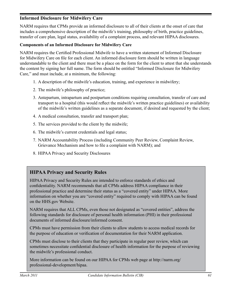#### **Informed Disclosure for Midwifery Care**

NARM requires that CPMs provide an informed disclosure to all of their clients at the onset of care that includes a comprehensive description of the midwife's training, philosophy of birth, practice guidelines, transfer of care plan, legal status, availability of a complaint process, and relevant HIPAA disclosures.

#### **Components of an Informed Disclosure for Midwifery Care**

NARM requires the Certified Professional Midwife to have a written statement of Informed Disclosure for Midwifery Care on file for each client. An informed disclosure form should be written in language understandable to the client and there must be a place on the form for the client to attest that she understands the content by signing her full name. The form should be entitled "Informed Disclosure for Midwifery Care," and must include, at a minimum, the following:

- 1. A description of the midwife's education, training, and experience in midwifery;
- 2. The midwife's philosophy of practice;
- 3. Antepartum, intrapartum and postpartum conditions requiring consultation, transfer of care and transport to a hospital (this would reflect the midwife's written practice guidelines) or availability of the midwife's written guidelines as a separate document, if desired and requested by the client;
- 4. A medical consultation, transfer and transport plan;
- 5. The services provided to the client by the midwife;
- 6. The midwife's current credentials and legal status;
- 7. NARM Accountability Process (including Community Peer Review, Complaint Review, Grievance Mechanism and how to file a complaint with NARM); and
- 8. HIPAA Privacy and Security Disclosures

## **HIPAA Privacy and Security Rules**

HIPAA Privacy and Security Rules are intended to enforce standards of ethics and confidentiality. NARM recommends that all CPMs address HIPAA compliance in their professional practice and determine their status as a "covered entity" under HIPAA. More information on whether you are "covered entity" required to comply with HIPAA can be found on the HHS.gov Website.

NARM requires that ALL CPMs, even those not designated as "covered entities", address the following standards for disclosure of personal health information (PHI) in their professional documents of informed disclosure/informed consent.

CPMs must have permission from their clients to allow students to access medical records for the purpose of education or verification of documentation for their NARM application.

CPMs must disclose to their clients that they participate in regular peer review, which can sometimes necessitate confidential disclosure of health information for the purpose of reviewing the midwife's professional conduct.

More information can be found on our HIPAA for CPMs web page at http://narm.org/ professional-development/hipaa.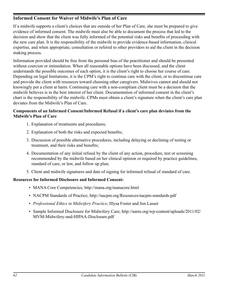#### **Informed Consent for Waiver of Midwife's Plan of Care**

If a midwife supports a client's choices that are outside of her Plan of Care, she must be prepared to give evidence of informed consent. The midwife must also be able to document the process that led to the decision and show that the client was fully informed of the potential risks and benefits of proceeding with the new care plan. It is the responsibility of the midwife to provide evidence-based information, clinical expertise, and when appropriate, consultation or referral to other providers to aid the client in the decision making process.

Information provided should be free from the personal bias of the practitioner and should be presented without coercion or intimidation. When all reasonable options have been discussed, and the client understands the possible outcomes of each option, it is the client's right to choose her course of care. Depending on legal limitations, it is the CPM's right to continue care with the client, or to discontinue care and provide the client with resources toward choosing other caregivers. Midwives cannot and should not knowingly put a client at harm. Continuing care with a non-compliant client must be a decision that the midwife believes is in the best interest of her client. Documentation of informed consent in the client's chart is the responsibility of the midwife. CPMs must obtain a client's signature when the client's care plan deviates from the Midwife's Plan of Care.

#### **Components of an Informed Consent/Informed Refusal if a client's care plan deviates from the Midwife's Plan of Care**

- 1. Explanation of treatments and procedures;
- 2. Explanation of both the risks and expected benefits;
- 3. Discussion of possible alternative procedures, including delaying or declining of testing or treatment, and their risks and benefits;
- 4. Documentation of any initial refusal by the client of any action, procedure, test or screening recommended by the midwife based on her clinical opinion or required by practice guidelines, standard of care, or law, and follow up plan;
- 5. Client and midwife signatures and date of signing for informed refusal of standard of care.

#### **Resources for Informed Disclosure and Informed Consent:**

- MANA Core Competencies; http://mana.org/manacore.html
- NACPM Standards of Practice; http://nacpm.org/Resources/nacpm-standards.pdf
- *Professional Ethics in Midwifery Practice*, Illysa Foster and Jon Lasser
- Sample Informed Disclosure for Midwifery Care; http://narm.org/wp-content/uploads/2011/02/ MVM-Midwifery-and-HIPAA-Disclosure.pdf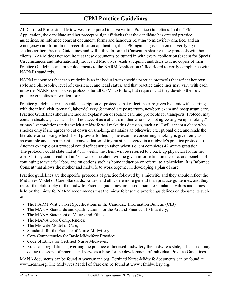# **CPM Practice Guidelines**

All Certified Professional Midwives are required to have written Practice Guidelines. In the CPM Application, the candidate and her preceptor sign affidavits that the candidate has created practice guidelines, an informed consent document, forms and handouts relating to midwifery practice, and an emergency care form. In the recertification application, the CPM again signs a statement verifying that she has written Practice Guidelines and will utilize Informed Consent in sharing these protocols with her clients. NARM does not require that these documents be turned in with every application (except for Special Circumstances and Internationally Educated Midwives. Audits require candidates to send copies of their Practice Guidelines and other documents to the NARM Application Office Board to verify compliance with NARM's standards.

NARM recognizes that each midwife is an individual with specific practice protocols that reflect her own style and philosophy, level of experience, and legal status, and that practice guidelines may vary with each midwife. NARM does not set protocols for all CPMs to follow, but requires that they develop their own practice guidelines in written form.

Practice guidelines are a specific description of protocols that reflect the care given by a midwife, starting with the initial visit, prenatal, labor/delivery  $\&$  immediate postpartum, newborn exam and postpartum care. Practice Guidelines should include an explanation of routine care and protocols for transports. Protocol may contain absolutes, such as, "I will not accept as a client a mother who does not agree to give up smoking," or may list conditions under which a midwife will make this decision, such as: "I will accept a client who smokes only if she agrees to cut down on smoking, maintains an otherwise exceptional diet, and reads the literature on smoking which I will provide for her." (The example concerning smoking is given only as an example and is not meant to convey that smoking must be covered in a midwife's practice protocols.) Another example of a protocol could reflect action taken when a client completes 42 weeks gestation. The protocols could state that at 43.1 weeks, the client will be referred to a back-up physician for further care. Or they could read that at 43.1 weeks the client will be given information on the risks and benefits of continuing to wait for labor, and on options such as home induction or referral to a physician. It is Informed Consent that allows the mother and midwife to work together in developing a plan of care.

Practice guidelines are the specific protocols of practice followed by a midwife, and they should reflect the Midwives Model of Care. Standards, values, and ethics are more general than practice guidelines, and they reflect the philosophy of the midwife. Practice guidelines are based upon the standards, values and ethics held by the midwife. NARM recommends that the midwife base the practice guidelines on documents such as:

- The NARM Written Test Specifications in the Candidate Information Bulletin (CIB)
- The MANA Standards and Qualifications for the Art and Practice of Midwifery;
- The MANA Statement of Values and Ethics:
- The MANA Core Competencies;
- The Midwife Model of Care;
- Standards for the Practice of Nurse-Midwifery;
- Core Competencies for Basic Midwifery Practice;
- Code of Ethics for Certified-Nurse Midwives;
- Rules and regulations governing the practice of licensed midwifery the midwife's state, if licensed may define the scope of practice and serve as a base for the development of individual Practice Guidelines.

MANA documents can be found at www.mana.org. Certified Nurse-Midwife documents can be found at www.acnm.org. The Midwives Model of Care can be found at www.cfmidwifery.org.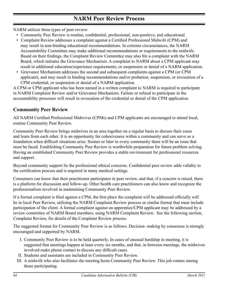## **NARM Peer Review Process**

NARM utilizes three types of peer review:

- Community Peer Review is routine, confidential, professional, non-punitive, and educational.
- Complaint Review addresses a complaint against a Certified Professional Midwife (CPM) and may result in non-binding educational recommendations. In extreme circumstances, the NARM Accountability Committee may make additional recommendations or requirements to the midwife. Based on their findings, the Complaint Review Committee may also file a complaint with the NARM Board, which initiates the Grievance Mechanism. A complaint to NARM about a CPM applicant may result in additional education/experience requirements, or suspension or denial of a NARM application.
- Grievance Mechanism addresses the second and subsequent complaints against a CPM (or CPM applicant), and may result in binding recommendations and/or probation, suspension, or revocation of a CPM credential, or suspension or denial of a NARM application.

A CPM or CPM applicant who has been named in a written complaint to NARM is required to participate in NARM Complaint Review and/or Grievance Mechanism. Failure or refusal to participate in the accountability processes will result in revocation of the credential or denial of the CPM application.

### **Community Peer Review**

All NARM Certified Professional Midwives (CPMs) and CPM applicants are encouraged to attend local, routine Community Peer Review.

Community Peer Review brings midwives in an area together on a regular basis to discuss their cases and learn from each other. It is an opportunity for cohesiveness within a community and can serve as a foundation when difficult situations arise. Sooner or later in every community there will be an issue that must be faced. Establishing Community Peer Review is worthwhile preparation for future problem solving. Having an established Community Peer Review provides a stable environment for professional resources and support.

Beyond community support lie the professional ethical concerns. Confidential peer review adds validity to the certification process and is required in many medical settings.

Consumers can know that their practitioner participates in peer review, and that, if a concern is raised, there is a platform for discussion and follow-up. Other health care practitioners can also know and recognize the professionalism involved in maintaining Community Peer Review.

If a formal complaint is filed against a CPM, the first place the complaint will be addressed officially will be in local Peer Review, utilizing the NARM Complaint Review process or similar format that must include participation of the client. A formal complaint against an apprentice/CPM applicant may be addressed by a review committee of NARM Board members, using NARM Complaint Review. See the following section, Complaint Review, for details of the Complaint Review process.

The suggested format for Community Peer Review is as follows. Decision- making by consensus is strongly encouraged and supported by NARM.

- I. Community Peer Review is to be held quarterly. In cases of unusual hardship in meeting, it is suggested that meetings happen at least every six months, and that, in between meetings, the midwives involved make phone contact to discuss any difficult cases.
- II. Students and assistants are included in Community Peer Review.
- III. A midwife who also facilitates the meeting hosts Community Peer Review. This job rotates among those participating.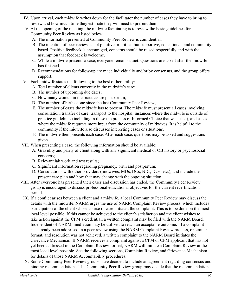- IV. Upon arrival, each midwife writes down for the facilitator the number of cases they have to bring to review and how much time they estimate they will need to present them.
- V. At the opening of the meeting, the midwife facilitating is to review the basic guidelines for Community Peer Review as listed below.
	- A. The information presented at Community Peer Review is confidential.
	- B. The intention of peer review is not punitive or critical but supportive, educational, and community based. Positive feedback is encouraged, concerns should be raised respectfully and with the assumption that feedback is welcome.
	- C. While a midwife presents a case, everyone remains quiet. Questions are asked after the midwife has finished.
	- D. Recommendations for follow-up are made individually and/or by consensus, and the group offers support.
- VI. Each midwife states the following to the best of her ability:
	- A. Total number of clients currently in the midwife's care;
	- B. The number of upcoming due dates;
	- C. How many women in the practice are postpartum;
	- D. The number of births done since the last Community Peer Review;
	- E. The number of cases the midwife has to present. The midwife must present all cases involving consultation, transfer of care, transport to the hospital, instances where the midwife is outside of practice guidelines (including in these the process of Informed Choice that was used), and cases where the midwife requests more input from the community of midwives. It is helpful to the community if the midwife also discusses interesting cases or situations.
	- F. The midwife then presents each case. After each case, questions may be asked and suggestions given.
- VII. When presenting a case, the following information should be available:
	- A. Gravidity and parity of client along with any significant medical or OB history or psychosocial concerns;
	- B. Relevant lab work and test results;
	- C. Significant information regarding pregnancy, birth and postpartum;
	- D. Consultations with other providers (midwives, MDs, DCs, NDs, DOs, etc.); and include the present care plan and how that may change with the ongoing situation.
- VIII. After everyone has presented their cases and discussion has ended, the Community Peer Review group is encouraged to discuss professional educational objectives for the current recertification period.
	- IX. If a conflict arises between a client and a midwife, a local Community Peer Review may discuss the details with the midwife. NARM urges the use of NARM Complaint Review process, which includes participation of the client whose course of care initiated the complaint. This is to be done on the most local level possible. If this cannot be achieved to the client's satisfaction and the client wishes to take action against the CPM's credential, a written complaint may be filed with the NARM Board. Independent of NARM, mediation may be utilized to reach an acceptable outcome. If a complaint has already been addressed in a peer review using the NARM Complaint Review process, or similar format, and resolution was not achieved, a written complaint to the NARM Board initiates the Grievance Mechanism. If NARM receives a complaint against a CPM or CPM applicant that has not yet been addressed in the Complaint Review format, NARM will initiate a Complaint Review at the most local level possible. See the following sections, Complaint Review, and Grievance Mechanism, for details of those NARM Accountability procedures.
	- X. Some Community Peer Review groups have decided to include an agreement regarding consensus and binding recommendations. The Community Peer Review group may decide that the recommendation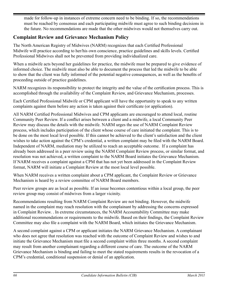made for follow-up in instances of extreme concern need to be binding. If so, the recommendations must be reached by consensus and each participating midwife must agree to such binding decisions in the future. No recommendations are made that the other midwives would not themselves carry out.

## **Complaint Review and Grievance Mechanism Policy**

The North American Registry of Midwives (NARM) recognizes that each Certified Professional Midwife will practice according to her/his own conscience, practice guidelines and skills levels. Certified Professional Midwives shall not be prevented from providing individualized care.

When a midwife acts beyond her guidelines for practice, the midwife must be prepared to give evidence of informed choice. The midwife must also be able to document the process that led the midwife to be able to show that the client was fully informed of the potential negative consequences, as well as the benefits of proceeding outside of practice guidelines.

NARM recognizes its responsibility to protect the integrity and the value of the certification process. This is accomplished through the availability of the Complaint Review, and Grievance Mechanism, processes.

Each Certified Professional Midwife or CPM applicant will have the opportunity to speak to any written complaints against them before any action is taken against their certificate (or application).

All NARM Certified Professional Midwives and CPM applicants are encouraged to attend local, routine Community Peer Review. If a conflict arises between a client and a midwife, a local Community Peer Review may discuss the details with the midwife. NARM urges the use of NARM Complaint Review process, which includes participation of the client whose course of care initiated the complaint. This is to be done on the most local level possible. If this cannot be achieved to the client's satisfaction and the client wishes to take action against the CPM's credential, a written complaint may be filed with the NARM Board. Independent of NARM, mediation may be utilized to reach an acceptable outcome. If a complaint has already been addressed in a peer review using the NARM Complaint Review process, or similar format, and resolution was not achieved, a written complaint to the NARM Board initiates the Grievance Mechanism. If NARM receives a complaint against a CPM that has not yet been addressed in the Complaint Review format, NARM will initiate a Complaint Review at the most local level possible.

When NARM receives a written complaint about a CPM applicant, the Complaint Review or Grievance Mechanism is heard by a review committee of NARM Board members.

Peer review groups are as local as possible. If an issue becomes contentious within a local group, the peer review group may consist of midwives from a larger vicinity.

Recommendations resulting from NARM Complaint Review are not binding. However, the midwife named in the complaint may reach resolution with the complainant by addressing the concerns expressed in Complaint Review. . In extreme circumstances, the NARM Accountability Committee may make additional recommendations or requirements to the midwife. Based on their findings, the Complaint Review Committee may also file a complaint with the NARM Board, which initiates the Grievance Mechanism.

A second complaint against a CPM or applicant initiates the NARM Grievance Mechanism. A complainant who does not agree that resolution was reached with the outcome of Complaint Review and wishes to and initiate the Grievance Mechanism must file a second complaint within three months. A second complaint may result from another complainant regarding a different course of care. The outcome of the NARM Grievance Mechanism is binding and failing to meet the stated requirements results in the revocation of a CPM's credential, conditional suspension or denial of an application.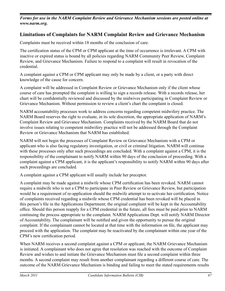*Forms for use in the NARM Complaint Review and Grievance Mechanism sessions are posted online at www.narm.org.*

## **Limitations of Complaints for NARM Complaint Review and Grievance Mechanism**

Complaints must be received within 18 months of the conclusion of care.

The certification status of the CPM or CPM applicant at the time of occurrence is irrelevant. A CPM with inactive or expired status is bound by all policies regarding NARM Community Peer Review, Complaint Review, and Grievance Mechanism. Failure to respond to a complaint will result in revocation of the credential.

A complaint against a CPM or CPM applicant may only be made by a client, or a party with direct knowledge of the cause for concern.

A complaint will be addressed in Complaint Review or Grievance Mechanism only if the client whose course of care has prompted the complaint is willing to sign a records release. With a records release, her chart will be confidentially reviewed and discussed by the midwives participating in Complaint Review or Grievance Mechanism. Without permission to review a client's chart the complaint is closed.

NARM accountability processes work to address concerns regarding competent midwifery practice. The NARM Board reserves the right to evaluate, in its sole discretion, the appropriate application of NARM's Complaint Review and Grievance Mechanism. Complaints received by the NARM Board that do not involve issues relating to competent midwifery practice will not be addressed through the Complaint Review or Grievance Mechanism that NARM has established.

NARM will not begin the processes of Complaint Review or Grievance Mechanism with a CPM or applicant who is also facing regulatory investigation, or civil or criminal litigation. NARM will continue with these processes only after such proceedings are concluded. With a complaint against a CPM, it is the responsibility of the complainant to notify NARM within 90 days of the conclusion of proceeding. With a complaint against a CPM applicant, it is the applicant's responsibility to notify NARM within 90 days after such proceedings are concluded.

A complaint against a CPM applicant will usually include her preceptor.

A complaint may be made against a midwife whose CPM certification has been revoked. NARM cannot require a midwife who is not a CPM to participate in Peer Review or Grievance Review, but participation would be a requirement of re-application should the midwife attempt to re-activate her certification. Notice of complaints received regarding a midwife whose CPM credential has been revoked will be placed in this person's file in the Applications Department; the original complaint will be kept in the Accountability office. Should this person reapply for a CPM credential in the future, all fees must be paid prior to NARM continuing the process appropriate to the complaint. NARM Applications Dept. will notify NARM Director of Accountability. The complainant will be notified and given the opportunity to pursue the original complaint. If the complainant cannot be located at that time with the information on file, the applicant may proceed with the application. The complaint may be reactivated by the complainant within one year of the CPM's new certification period.

When NARM receives a second complaint against a CPM or applicant, the NARM Grievance Mechanism is initiated. A complainant who does not agree that resolution was reached with the outcome of Complaint Review and wishes to and initiate the Grievance Mechanism must file a second complaint within three months. A second complaint may result from another complainant regarding a different course of care. The outcome of the NARM Grievance Mechanism is binding and failing to meet the stated requirements results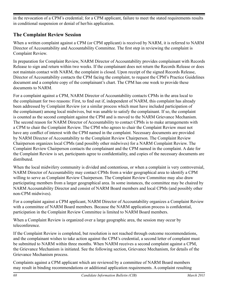in the revocation of a CPM's credential; for a CPM applicant, failure to meet the stated requirements results in conditional suspension or denial of her/his application.

## **The Complaint Review Session**

When a written complaint against a CPM (or CPM applicant) is received by NARM, it is referred to NARM Director of Accountability and Accountability Committee. The first step in reviewing the complaint is Complaint Review.

In preparation for Complaint Review, NARM Director of Accountability provides complainant with Records Release to sign and return within two weeks. If the complainant does not return the Records Release or does not maintain contact with NARM, the complaint is closed. Upon receipt of the signed Records Release, Director of Accountability contacts the CPM facing the complaint, to request the CPM's Practice Guidelines document and a complete copy of the complainant's chart. The CPM has one week to provide these documents to NARM.

For a complaint against a CPM, NARM Director of Accountability contacts CPMs in the area local to the complainant for two reasons: First, to find out if, independent of NARM, this complaint has already been addressed by Complaint Review (or a similar process which must have included participation of the complainant) among local midwives, but was unable to satisfy the complainant. If so, the complaint is counted as the second complaint against the CPM and is moved to the NARM Grievance Mechanism. The second reason for NARM Director of Accountability to contact CPMs is to make arrangements with a CPM to chair the Complaint Review. The CPM who agrees to chair the Complaint Review must not have any conflict of interest with the CPM named in the complaint. Necessary documents are provided by NARM Director of Accountability to the Complaint Review Chairperson. The Complaint Review Chairperson organizes local CPMs (and possibly other midwives) for a NARM Complaint Review. The Complaint Review Chairperson contacts the complainant and the CPM named in the complaint. A date for the Complaint Review is set, participants agree to confidentiality, and copies of the necessary documents are distributed.

When the local midwifery community is divided and contentious, or when a complaint is very controversial, NARM Director of Accountability may contact CPMs from a wider geographical area to identify a CPM willing to serve as Complaint Review Chairperson. The Complaint Review Committee may also draw participating members from a larger geographical area. In some instances, the committee may be chaired by NARM Accountability Director and consist of NARM Board members and local CPMs (and possibly other non-CPM midwives).

For a complaint against a CPM applicant, NARM Director of Accountability organizes a Complaint Review with a committee of NARM Board members. Because the NARM application process is confidential, participation in the Complaint Review Committee is limited to NARM Board members.

When a Complaint Review is organized over a large geographic area, the session may occur by teleconference.

If the Complaint Review is completed, but resolution is not reached through outcome recommendations, and the complainant wishes to take action against the CPM's credential, a second letter of complaint must be submitted to NARM within three months. When NARM receives a second complaint against a CPM, the Grievance Mechanism is initiated. See the following section, Grievance Mechanism, for details of the Grievance Mechanism process.

Complaints against a CPM applicant which are reviewed by a committee of NARM Board members may result in binding recommendations or additional application requirements. A complaint resulting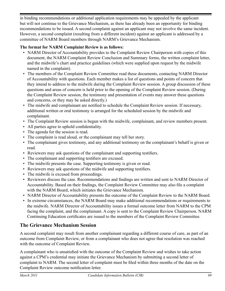in binding recommendations or additional application requirements may be appealed by the applicant but will not continue to the Grievance Mechanism, as there has already been an opportunity for binding recommendations to be issued. A second complaint against an applicant may not involve the same incident. However, a second complaint (resulting from a different incident) against an applicant is addressed by a committee of NARM Board members through NARM's Grievance Mechanism.

#### **The format for NARM Complaint Review is as follows:**

- NARM Director of Accountability provides to the Complaint Review Chairperson with copies of this document, the NARM Complaint Review Conclusion and Summary forms, the written complaint letter, and the midwife's chart and practice guidelines (which were supplied upon request by the midwife named in the complaint).
- The members of the Complaint Review Committee read these documents, contacting NARM Director of Accountability with questions. Each member makes a list of questions and points of concern that they intend to address to the midwife during the Complaint Review session. A group discussion of these questions and areas of concern is held prior to the opening of the Complaint Review session. (During the Complaint Review session, the testimony and presentation of events may answer these questions and concerns, or they may be asked directly.)
- The midwife and complainant are notified to schedule the Complaint Review session. If necessary, additional written or oral testimony is arranged for the scheduled session by the midwife and complainant.
- The Complaint Review session is begun with the midwife, complainant, and review members present.
- All parties agree to uphold confidentiality.
- The agenda for the session is read.
- The complaint is read aloud, or the complainant may tell her story.
- The complainant gives testimony, and any additional testimony on the complainant's behalf is given or read.
- Reviewers may ask questions of the complainant and supporting testifiers.
- The complainant and supporting testifiers are excused.
- The midwife presents the case. Supporting testimony is given or read.
- Reviewers may ask questions of the midwife and supporting testifiers.
- The midwife is excused from proceedings.
- Reviewers discuss the case. Recommendations and findings are written and sent to NARM Director of Accountability. Based on their findings, the Complaint Review Committee may also file a complaint with the NARM Board, which initiates the Grievance Mechanism.
- NARM Director of Accountability presents the outcome of the Complaint Review to the NARM Board.
- In extreme circumstances, the NARM Board may make additional recommendations or requirements to the midwife. NARM Director of Accountability issues a formal outcome letter from NARM to the CPM facing the complaint, and the complainant. A copy is sent to the Complaint Review Chairperson. NARM Continuing Education certificates are issued to the members of the Complaint Review Committee.

## **The Grievance Mechanism Session**

A second complaint may result from another complainant regarding a different course of care, as part of an outcome from Complaint Review, or from a complainant who does not agree that resolution was reached with the outcome of Complaint Review.

A complainant who is unsatisfied with the outcome of the Complaint Review and wishes to take action against a CPM's credential may initiate the Grievance Mechanism by submitting a second letter of complaint to NARM. The second letter of complaint must be filed within three months of the date on the Complaint Review outcome notification letter.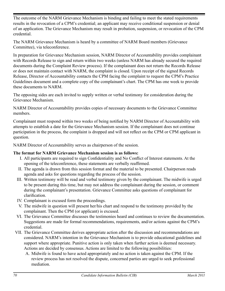The outcome of the NARM Grievance Mechanism is binding and failing to meet the stated requirements results in the revocation of a CPM's credential; an applicant may receive conditional suspension or denial of an application. The Grievance Mechanism may result in probation, suspension, or revocation of the CPM credential.

The NARM Grievance Mechanism is heard by a committee of NARM Board members (Grievance Committee), via teleconference.

In preparation for Grievance Mechanism session, NARM Director of Accountability provides complainant with Records Release to sign and return within two weeks (unless NARM has already secured the required documents during the Complaint Review process). If the complainant does not return the Records Release or does not maintain contact with NARM, the complaint is closed. Upon receipt of the signed Records Release, Director of Accountability contacts the CPM facing the complaint to request the CPM's Practice Guidelines document and a complete copy of the complainant's chart. The CPM has one week to provide these documents to NARM.

The opposing sides are each invited to supply written or verbal testimony for consideration during the Grievance Mechanism.

NARM Director of Accountability provides copies of necessary documents to the Grievance Committee members.

Complainant must respond within two weeks of being notified by NARM Director of Accountability with attempts to establish a date for the Grievance Mechanism session. If the complainant does not continue participation in the process, the complaint is dropped and will not reflect on the CPM or CPM applicant in question.

NARM Director of Accountability serves as chairperson of the session.

#### **The format for NARM Grievance Mechanism session is as follows:**

- I. All participants are required to sign Confidentiality and No Conflict of Interest statements. At the opening of the teleconference, these statements are verbally reaffirmed.
- II. The agenda is drawn from this session format and the material to be presented. Chairperson reads agenda and asks for questions regarding the process of the session.
- III. Written testimony will be read and verbal testimony given by the complainant. The midwife is urged to be present during this time, but may not address the complainant during the session, or comment during the complainant's presentation. Grievance Committee asks questions of complainant for clarification.
- IV. Complainant is excused form the proceedings.
- V. The midwife in question will present her/his chart and respond to the testimony provided by the complainant. Then the CPM (or applicant) is excused.
- VI. The Grievance Committee discusses the testimonies heard and continues to review the documentation. Suggestions are made for formal recommendations, requirements, and/or actions against the CPM's credential.
- VII. The Grievance Committee derives appropriate action after the discussion and recommendations are considered. NARM's intention in the Grievance Mechanism is to provide educational guidelines and support where appropriate. Punitive action is only taken when further action is deemed necessary. Actions are decided by consensus. Actions are limited to the following possibilities:
	- A. Midwife is found to have acted appropriately and no action is taken against the CPM. If the review process has not resolved the dispute, concerned parties are urged to seek professional mediation.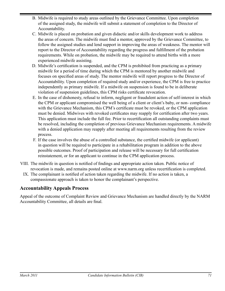- B. Midwife is required to study areas outlined by the Grievance Committee. Upon completion of the assigned study, the midwife will submit a statement of completion to the Director of Accountability.
- C. Midwife is placed on probation and given didactic and/or skills development work to address the areas of concern. The midwife must find a mentor, approved by the Grievance Committee, to follow the assigned studies and lend support in improving the areas of weakness. The mentor will report to the Director of Accountability regarding the progress and fulfillment of the probation requirements. While on probation, the midwife may be required to attend births with a more experienced midwife assisting.
- D. Midwife's certification is suspended, and the CPM is prohibited from practicing as a primary midwife for a period of time during which the CPM is mentored by another midwife and focuses on specified areas of study. The mentor midwife will report progress to the Director of Accountability. Upon completion of required study and/or experience, the CPM is free to practice independently as primary midwife. If a midwife on suspension is found to be in deliberate violation of suspension guidelines, this CPM risks certificate revocation.
- E. In the case of dishonesty, refusal to inform, negligent or fraudulent action of self-interest in which the CPM or applicant compromised the well being of a client or client's baby, or non- compliance with the Grievance Mechanism, this CPM's certificate must be revoked, or the CPM application must be denied. Midwives with revoked certificates may reapply for certification after two years. This application must include the full fee. Prior to recertification all outstanding complaints must be resolved, including the completion of previous Grievance Mechanism requirements. A midwife with a denied application may reapply after meeting all requirements resulting from the review process.
- F. If the case involves the abuse of a controlled substance, the certified midwife (or applicant) in question will be required to participate in a rehabilitation program in addition to the above possible outcomes. Proof of participation and release will be necessary for full certification reinstatement, or for an applicant to continue in the CPM application process.
- VIII. The midwife in question is notified of findings and appropriate action taken. Public notice of revocation is made, and remains posted online at www.narm.org unless recertification is completed.
- IX. The complainant is notified of action taken regarding the midwife. If no action is taken, a compassionate approach is taken to honor the complainant's perspective.

### **Accountability Appeals Process**

Appeal of the outcome of Complaint Review and Grievance Mechanism are handled directly by the NARM Accountability Committee, all details are final.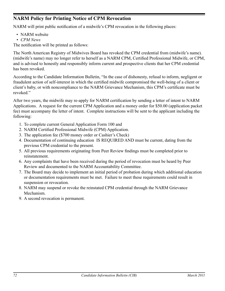## **NARM Policy for Printing Notice of CPM Revocation**

NARM will print public notification of a midwife's CPM revocation in the following places:

- NARM website
- *• CPM News*

The notification will be printed as follows:

The North American Registry of Midwives Board has revoked the CPM credential from (midwife's name). (midwife's name) may no longer refer to herself as a NARM CPM, Certified Professional Midwife, or CPM, and is advised to honestly and responsibly inform current and prospective clients that her CPM credential has been revoked.

According to the Candidate Information Bulletin, "In the case of dishonesty, refusal to inform, negligent or fraudulent action of self-interest in which the certified midwife compromised the well-being of a client or client's baby, or with noncompliance to the NARM Grievance Mechanism, this CPM's certificate must be revoked."

After two years, the midwife may re-apply for NARM certification by sending a letter of intent to NARM Applications. A request for the current CPM Application and a money order for \$50.00 (application packet fee) must accompany the letter of intent. Complete instructions will be sent to the applicant including the following:

- 1. To complete current General Application Form 100 and
- 2. NARM Certified Professional Midwife (CPM) Application.
- 3. The application fee (\$700 money order or Cashier's Check)
- 4. Documentation of continuing education IS REQUIRED AND must be current, dating from the previous CPM credential to the present.
- 5. All previous requirements originating from Peer Review findings must be completed prior to reinstatement.
- 6. Any complaints that have been received during the period of revocation must be heard by Peer Review and documented to the NARM Accountability Committee.
- 7. The Board may decide to implement an initial period of probation during which additional education or documentation requirements must be met. Failure to meet these requirements could result in suspension or revocation.
- 8. NARM may suspend or revoke the reinstated CPM credential through the NARM Grievance Mechanism.
- 9. A second revocation is permanent.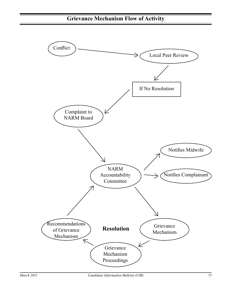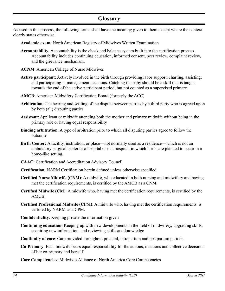## **Glossary**

As used in this process, the following terms shall have the meaning given to them except where the context clearly states otherwise.

**Academic exam**: North American Registry of Midwives Written Examination

- **Accountability**: Accountability is the check and balance system built into the certification process. Accountability includes continuing education, informed consent, peer review, complaint review, and the grievance mechanism.
- **ACNM**: American College of Nurse Midwives
- **Active participant**: Actively involved in the birth through providing labor support, charting, assisting, and participating in management decisions. Catching the baby should be a skill that is taught towards the end of the active participant period, but not counted as a supervised primary.
- **AMCB**: American Midwifery Certification Board (formerly the ACC)
- **Arbitration**: The hearing and settling of the dispute between parties by a third party who is agreed upon by both (all) disputing parties
- **Assistant**: Applicant or midwife attending both the mother and primary midwife without being in the primary role or having equal responsibility
- **Binding arbitration**: A type of arbitration prior to which all disputing parties agree to follow the outcome
- **Birth Center:** A facility, institution, or place—not normally used as a residence—which is not an ambulatory surgical center or a hospital or in a hospital, in which births are planned to occur in a home-like setting.
- **CAAC**: Certification and Accreditation Advisory Council
- **Certification**: NARM Certification herein defined unless otherwise specified
- **Certified Nurse Midwife (CNM)**: A midwife, who educated in both nursing and midwifery and having met the certification requirements, is certified by the AMCB as a CNM.
- **Certified Midwife (CM)**: A midwife who, having met the certification requirements, is certified by the AMCB.
- **Certified Professional Midwife (CPM)**: A midwife who, having met the certification requirements, is certified by NARM as a CPM.
- **Confidentiality**: Keeping private the information given
- **Continuing education**: Keeping up with new developments in the field of midwifery, upgrading skills, acquiring new information, and reviewing skills and knowledge
- **Continuity of care**: Care provided throughout prenatal, intrapartum and postpartum periods
- **Co-Primary**: Each midwife bears equal responsibility for the actions, inactions and collective decisions of her co-primary and herself.
- **Core Competencies**: Midwives Alliance of North America Core Competencies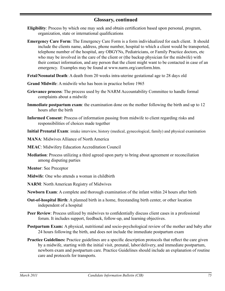### **Glossary, continued**

- **Eligibility**: Process by which one may seek and obtain certification based upon personal, program, organization, state or international qualifications
- **Emergency Care Form**: The Emergency Care Form is a form individualized for each client. It should include the clients name, address, phone number, hospital to which a client would be transported, telephone number of the hospital, any OBGYNs, Pediatricians, or Family Practice doctors, etc who may be involved in the care of the client or (the backup physician for the midwife) with their contact information, and any person that the client might want to be contacted in case of an emergency. Examples may be found at www.narm.org/careform.htm.
- **Fetal/Neonatal Death**: A death from 20 weeks intra-uterine gestational age to 28 days old
- **Grand Midwife**: A midwife who has been in practice before 1965
- **Grievance process**: The process used by the NARM Accountability Committee to handle formal complaints about a midwife
- **Immediate postpartum exam**: the examination done on the mother following the birth and up to 12 hours after the birth
- **Informed Consent**: Process of information passing from midwife to client regarding risks and responsibilities of choices made together
- **Initial Prenatal Exam**: intake interview, history (medical, gynecological, family) and physical examination
- **MANA**: Midwives Alliance of North America
- **MEAC**: Midwifery Education Accreditation Council
- **Mediation**: Process utilizing a third agreed upon party to bring about agreement or reconciliation among disputing parties
- **Mentor**: See Preceptor
- **Midwife**: One who attends a woman in childbirth
- **NARM**: North American Registry of Midwives
- **Newborn Exam**: A complete and thorough examination of the infant within 24 hours after birth
- **Out-of-hospital Birth**: A planned birth in a home, freestanding birth center, or other location independent of a hospital
- **Peer Review**: Process utilized by midwives to confidentially discuss client cases in a professional forum. It includes support, feedback, follow-up, and learning objectives.
- **Postpartum Exam:** A physical, nutritional and socio-psychological review of the mother and baby after 24 hours following the birth, and does not include the immediate postpartum exam
- **Practice Guidelines:** Practice guidelines are a specific description protocols that reflect the care given by a midwife, starting with the initial visit, prenatal, labor/delivery, and immediate postpartum, newborn exam and postpartum care. Practice Guidelines should include an explanation of routine care and protocols for transports.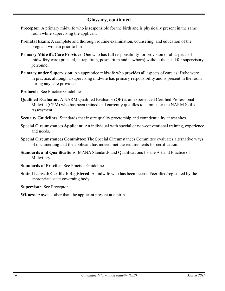## **Glossary, continued**

- **Preceptor**: A primary midwife who is responsible for the birth and is physically present in the same room while supervising the applicant
- **Prenatal Exam**: A complete and thorough routine examination, counseling, and education of the pregnant woman prior to birth
- **Primary Midwife/Care Provider**: One who has full responsibility for provision of all aspects of midwifery care (prenatal, intrapartum, postpartum and newborn) without the need for supervisory personnel
- **Primary under Supervision**: An apprentice midwife who provides all aspects of care as if s/he were in practice, although a supervising midwife has primary responsibility and is present in the room during any care provided.
- **Protocols**: See Practice Guidelines
- **Qualified Evaluator**: A NARM Qualified Evaluator (QE) is an experienced Certified Professional Midwife (CPM) who has been trained and currently qualifies to administer the NARM Skills Assessment.
- **Security Guidelines**: Standards that insure quality proctorship and confidentiality at test sites.
- **Special Circumstances Applicant**: An individual with special or non-conventional training, experience and needs.
- **Special Circumstances Committee**: The Special Circumstances Committee evaluates alternative ways of documenting that the applicant has indeed met the requirements for certification.
- **Standards and Qualifications**: MANA Standards and Qualifications for the Art and Practice of Midwifery
- **Standards of Practice**: See Practice Guidelines
- **State Licensed/ Certified/ Registered**: A midwife who has been licensed/certified/registered by the appropriate state governing body
- **Supervisor**: See Preceptor

**Witness**: Anyone other than the applicant present at a birth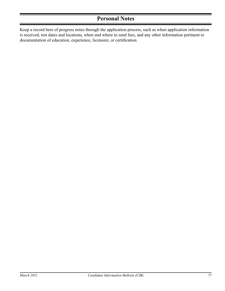Keep a record here of progress notes through the application process, such as when application information is received, test dates and locations, when and where to send fees, and any other information pertinent to documentation of education, experience, licensure, or certification.